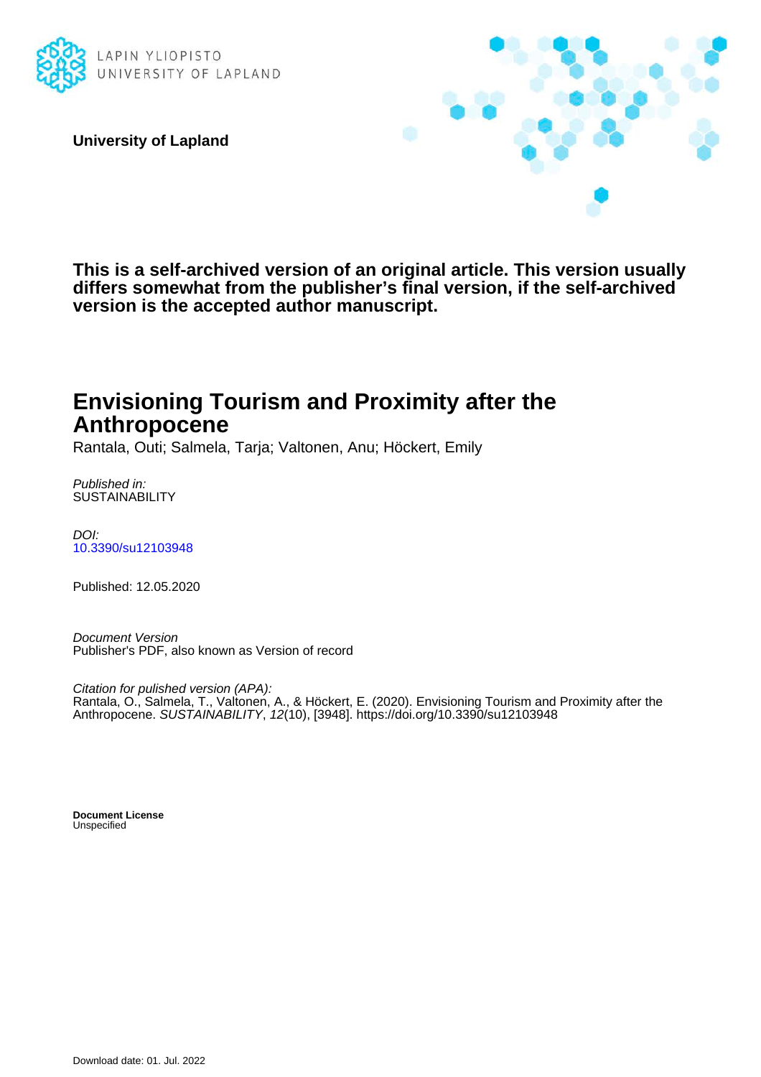

**University of Lapland**



**This is a self-archived version of an original article. This version usually differs somewhat from the publisher's final version, if the self-archived version is the accepted author manuscript.**

# **Envisioning Tourism and Proximity after the Anthropocene**

Rantala, Outi; Salmela, Tarja; Valtonen, Anu; Höckert, Emily

Published in: **SUSTAINABILITY** 

DOI: [10.3390/su12103948](https://doi.org/10.3390/su12103948)

Published: 12.05.2020

Document Version Publisher's PDF, also known as Version of record

Citation for pulished version (APA): Rantala, O., Salmela, T., Valtonen, A., & Höckert, E. (2020). Envisioning Tourism and Proximity after the Anthropocene. SUSTAINABILITY, 12(10), [3948]. <https://doi.org/10.3390/su12103948>

**Document License Unspecified**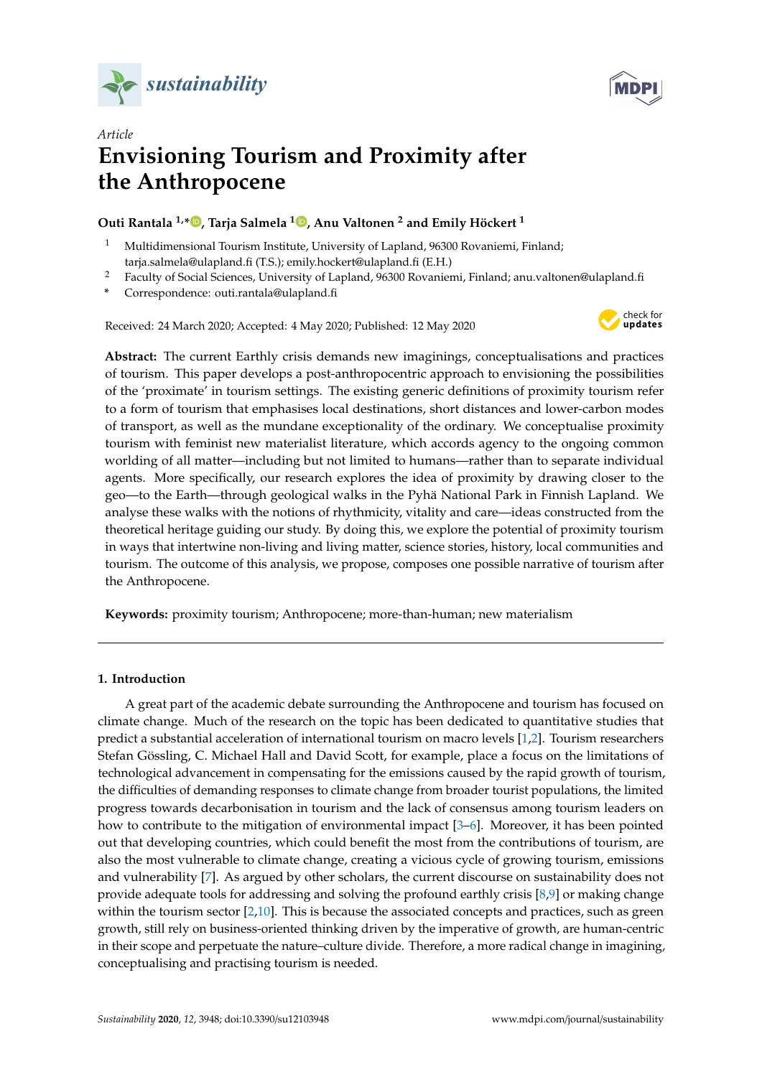



## *Article* **Envisioning Tourism and Proximity after the Anthropocene**

### **Outi Rantala 1,[\\*](https://orcid.org/0000-0003-2340-9522) , Tarja Salmela <sup>1</sup> [,](https://orcid.org/0000-0002-0820-517X) Anu Valtonen <sup>2</sup> and Emily Höckert <sup>1</sup>**

- <sup>1</sup> Multidimensional Tourism Institute, University of Lapland, 96300 Rovaniemi, Finland; tarja.salmela@ulapland.fi (T.S.); emily.hockert@ulapland.fi (E.H.)
- <sup>2</sup> Faculty of Social Sciences, University of Lapland, 96300 Rovaniemi, Finland; anu.valtonen@ulapland.fi
- **\*** Correspondence: outi.rantala@ulapland.fi

Received: 24 March 2020; Accepted: 4 May 2020; Published: 12 May 2020



**Abstract:** The current Earthly crisis demands new imaginings, conceptualisations and practices of tourism. This paper develops a post-anthropocentric approach to envisioning the possibilities of the 'proximate' in tourism settings. The existing generic definitions of proximity tourism refer to a form of tourism that emphasises local destinations, short distances and lower-carbon modes of transport, as well as the mundane exceptionality of the ordinary. We conceptualise proximity tourism with feminist new materialist literature, which accords agency to the ongoing common worlding of all matter—including but not limited to humans—rather than to separate individual agents. More specifically, our research explores the idea of proximity by drawing closer to the geo—to the Earth—through geological walks in the Pyhä National Park in Finnish Lapland. We analyse these walks with the notions of rhythmicity, vitality and care—ideas constructed from the theoretical heritage guiding our study. By doing this, we explore the potential of proximity tourism in ways that intertwine non-living and living matter, science stories, history, local communities and tourism. The outcome of this analysis, we propose, composes one possible narrative of tourism after the Anthropocene.

**Keywords:** proximity tourism; Anthropocene; more-than-human; new materialism

#### **1. Introduction**

A great part of the academic debate surrounding the Anthropocene and tourism has focused on climate change. Much of the research on the topic has been dedicated to quantitative studies that predict a substantial acceleration of international tourism on macro levels [\[1,](#page-13-0)[2\]](#page-13-1). Tourism researchers Stefan Gössling, C. Michael Hall and David Scott, for example, place a focus on the limitations of technological advancement in compensating for the emissions caused by the rapid growth of tourism, the difficulties of demanding responses to climate change from broader tourist populations, the limited progress towards decarbonisation in tourism and the lack of consensus among tourism leaders on how to contribute to the mitigation of environmental impact [\[3](#page-13-2)[–6\]](#page-14-0). Moreover, it has been pointed out that developing countries, which could benefit the most from the contributions of tourism, are also the most vulnerable to climate change, creating a vicious cycle of growing tourism, emissions and vulnerability [\[7\]](#page-14-1). As argued by other scholars, the current discourse on sustainability does not provide adequate tools for addressing and solving the profound earthly crisis [\[8,](#page-14-2)[9\]](#page-14-3) or making change within the tourism sector [\[2,](#page-13-1)[10\]](#page-14-4). This is because the associated concepts and practices, such as green growth, still rely on business-oriented thinking driven by the imperative of growth, are human-centric in their scope and perpetuate the nature–culture divide. Therefore, a more radical change in imagining, conceptualising and practising tourism is needed.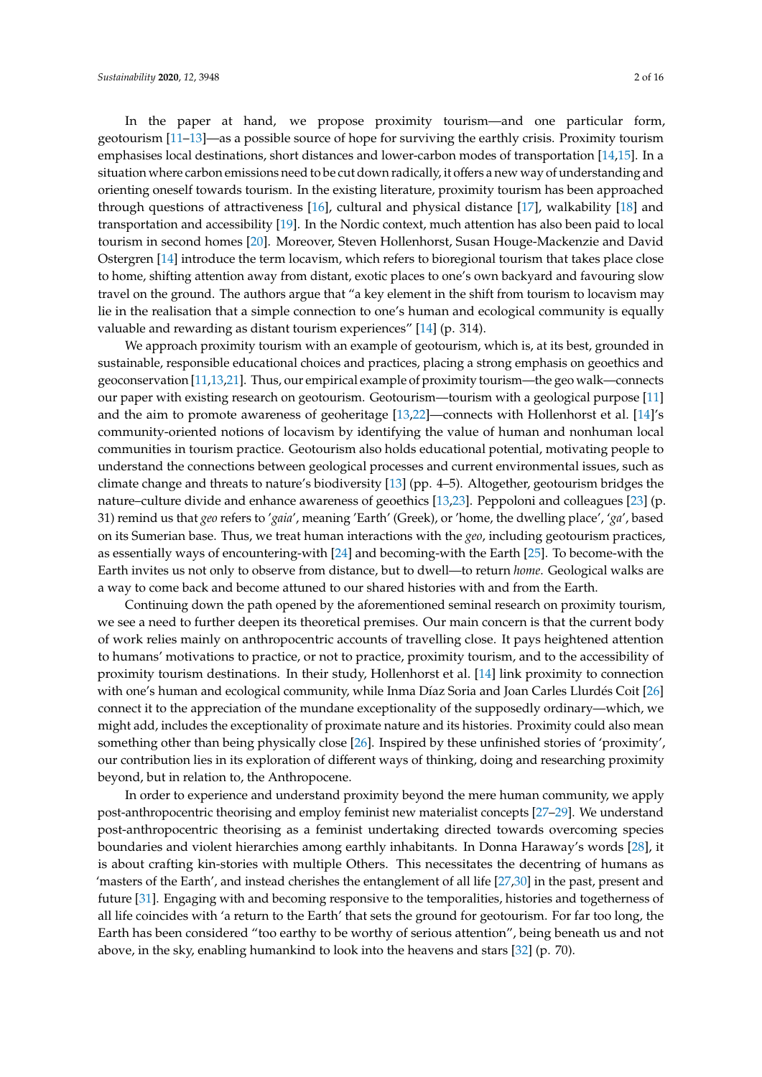In the paper at hand, we propose proximity tourism—and one particular form, geotourism [\[11](#page-14-5)[–13\]](#page-14-6)—as a possible source of hope for surviving the earthly crisis. Proximity tourism emphasises local destinations, short distances and lower-carbon modes of transportation [\[14](#page-14-7)[,15\]](#page-14-8). In a situation where carbon emissions need to be cut down radically, it offers a new way of understanding and orienting oneself towards tourism. In the existing literature, proximity tourism has been approached through questions of attractiveness [\[16\]](#page-14-9), cultural and physical distance [\[17\]](#page-14-10), walkability [\[18\]](#page-14-11) and transportation and accessibility [\[19\]](#page-14-12). In the Nordic context, much attention has also been paid to local tourism in second homes [\[20\]](#page-14-13). Moreover, Steven Hollenhorst, Susan Houge-Mackenzie and David Ostergren [\[14\]](#page-14-7) introduce the term locavism, which refers to bioregional tourism that takes place close to home, shifting attention away from distant, exotic places to one's own backyard and favouring slow travel on the ground. The authors argue that "a key element in the shift from tourism to locavism may lie in the realisation that a simple connection to one's human and ecological community is equally valuable and rewarding as distant tourism experiences" [\[14\]](#page-14-7) (p. 314).

We approach proximity tourism with an example of geotourism, which is, at its best, grounded in sustainable, responsible educational choices and practices, placing a strong emphasis on geoethics and geoconservation [\[11](#page-14-5)[,13,](#page-14-6)[21\]](#page-14-14). Thus, our empirical example of proximity tourism—the geo walk—connects our paper with existing research on geotourism. Geotourism—tourism with a geological purpose [\[11\]](#page-14-5) and the aim to promote awareness of geoheritage [\[13,](#page-14-6)[22\]](#page-14-15)—connects with Hollenhorst et al. [\[14\]](#page-14-7)'s community-oriented notions of locavism by identifying the value of human and nonhuman local communities in tourism practice. Geotourism also holds educational potential, motivating people to understand the connections between geological processes and current environmental issues, such as climate change and threats to nature's biodiversity [\[13\]](#page-14-6) (pp. 4–5). Altogether, geotourism bridges the nature–culture divide and enhance awareness of geoethics [\[13,](#page-14-6)[23\]](#page-14-16). Peppoloni and colleagues [\[23\]](#page-14-16) (p. 31) remind us that *geo* refers to '*gaia*', meaning 'Earth' (Greek), or 'home, the dwelling place', '*ga*', based on its Sumerian base. Thus, we treat human interactions with the *geo*, including geotourism practices, as essentially ways of encountering-with [\[24\]](#page-14-17) and becoming-with the Earth [\[25\]](#page-14-18). To become-with the Earth invites us not only to observe from distance, but to dwell—to return *home*. Geological walks are a way to come back and become attuned to our shared histories with and from the Earth.

Continuing down the path opened by the aforementioned seminal research on proximity tourism, we see a need to further deepen its theoretical premises. Our main concern is that the current body of work relies mainly on anthropocentric accounts of travelling close. It pays heightened attention to humans' motivations to practice, or not to practice, proximity tourism, and to the accessibility of proximity tourism destinations. In their study, Hollenhorst et al. [\[14\]](#page-14-7) link proximity to connection with one's human and ecological community, while Inma Díaz Soria and Joan Carles Llurdés Coit [\[26\]](#page-14-19) connect it to the appreciation of the mundane exceptionality of the supposedly ordinary—which, we might add, includes the exceptionality of proximate nature and its histories. Proximity could also mean something other than being physically close [\[26\]](#page-14-19). Inspired by these unfinished stories of 'proximity', our contribution lies in its exploration of different ways of thinking, doing and researching proximity beyond, but in relation to, the Anthropocene.

In order to experience and understand proximity beyond the mere human community, we apply post-anthropocentric theorising and employ feminist new materialist concepts [\[27–](#page-14-20)[29\]](#page-14-21). We understand post-anthropocentric theorising as a feminist undertaking directed towards overcoming species boundaries and violent hierarchies among earthly inhabitants. In Donna Haraway's words [\[28\]](#page-14-22), it is about crafting kin-stories with multiple Others. This necessitates the decentring of humans as 'masters of the Earth', and instead cherishes the entanglement of all life [\[27](#page-14-20)[,30\]](#page-14-23) in the past, present and future [\[31\]](#page-14-24). Engaging with and becoming responsive to the temporalities, histories and togetherness of all life coincides with 'a return to the Earth' that sets the ground for geotourism. For far too long, the Earth has been considered "too earthy to be worthy of serious attention", being beneath us and not above, in the sky, enabling humankind to look into the heavens and stars [\[32\]](#page-14-25) (p. 70).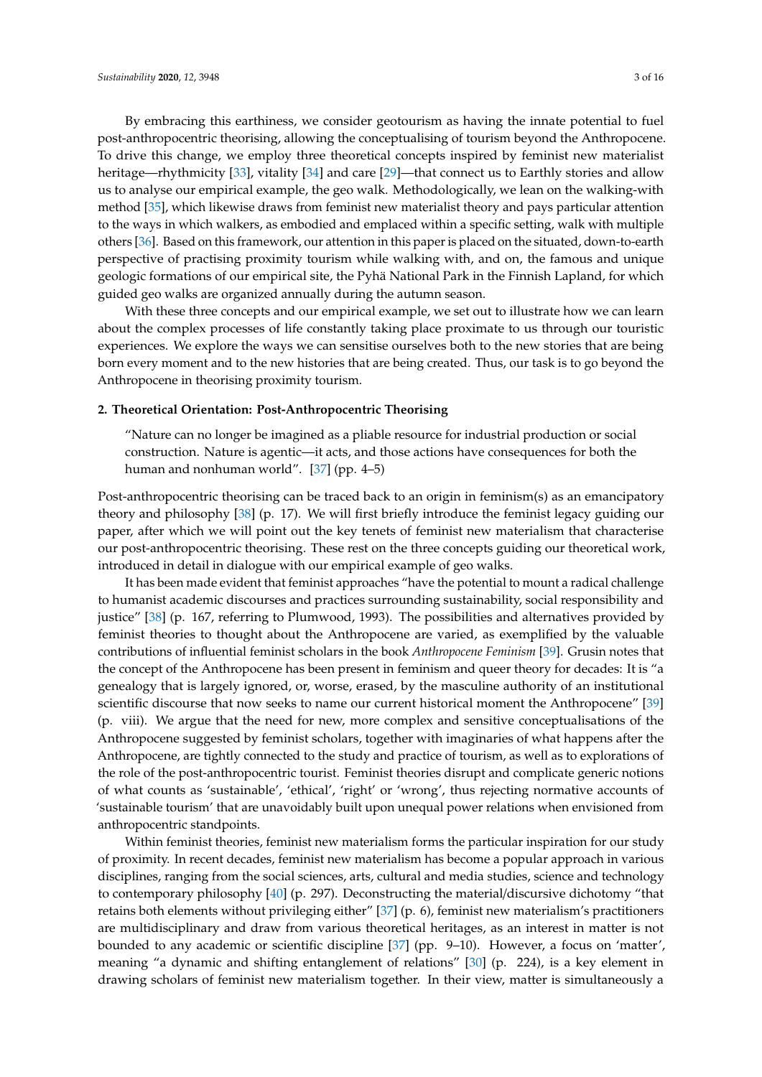By embracing this earthiness, we consider geotourism as having the innate potential to fuel post-anthropocentric theorising, allowing the conceptualising of tourism beyond the Anthropocene. To drive this change, we employ three theoretical concepts inspired by feminist new materialist heritage—rhythmicity [\[33\]](#page-15-0), vitality [\[34\]](#page-15-1) and care [\[29\]](#page-14-21)—that connect us to Earthly stories and allow us to analyse our empirical example, the geo walk. Methodologically, we lean on the walking-with method [\[35\]](#page-15-2), which likewise draws from feminist new materialist theory and pays particular attention to the ways in which walkers, as embodied and emplaced within a specific setting, walk with multiple others [\[36\]](#page-15-3). Based on this framework, our attention in this paper is placed on the situated, down-to-earth perspective of practising proximity tourism while walking with, and on, the famous and unique geologic formations of our empirical site, the Pyhä National Park in the Finnish Lapland, for which guided geo walks are organized annually during the autumn season.

With these three concepts and our empirical example, we set out to illustrate how we can learn about the complex processes of life constantly taking place proximate to us through our touristic experiences. We explore the ways we can sensitise ourselves both to the new stories that are being born every moment and to the new histories that are being created. Thus, our task is to go beyond the Anthropocene in theorising proximity tourism.

#### **2. Theoretical Orientation: Post-Anthropocentric Theorising**

"Nature can no longer be imagined as a pliable resource for industrial production or social construction. Nature is agentic—it acts, and those actions have consequences for both the human and nonhuman world". [\[37\]](#page-15-4) (pp. 4–5)

Post-anthropocentric theorising can be traced back to an origin in feminism(s) as an emancipatory theory and philosophy [\[38\]](#page-15-5) (p. 17). We will first briefly introduce the feminist legacy guiding our paper, after which we will point out the key tenets of feminist new materialism that characterise our post-anthropocentric theorising. These rest on the three concepts guiding our theoretical work, introduced in detail in dialogue with our empirical example of geo walks.

It has been made evident that feminist approaches "have the potential to mount a radical challenge to humanist academic discourses and practices surrounding sustainability, social responsibility and justice" [\[38\]](#page-15-5) (p. 167, referring to Plumwood, 1993). The possibilities and alternatives provided by feminist theories to thought about the Anthropocene are varied, as exemplified by the valuable contributions of influential feminist scholars in the book *Anthropocene Feminism* [\[39\]](#page-15-6). Grusin notes that the concept of the Anthropocene has been present in feminism and queer theory for decades: It is "a genealogy that is largely ignored, or, worse, erased, by the masculine authority of an institutional scientific discourse that now seeks to name our current historical moment the Anthropocene" [\[39\]](#page-15-6) (p. viii). We argue that the need for new, more complex and sensitive conceptualisations of the Anthropocene suggested by feminist scholars, together with imaginaries of what happens after the Anthropocene, are tightly connected to the study and practice of tourism, as well as to explorations of the role of the post-anthropocentric tourist. Feminist theories disrupt and complicate generic notions of what counts as 'sustainable', 'ethical', 'right' or 'wrong', thus rejecting normative accounts of 'sustainable tourism' that are unavoidably built upon unequal power relations when envisioned from anthropocentric standpoints.

Within feminist theories, feminist new materialism forms the particular inspiration for our study of proximity. In recent decades, feminist new materialism has become a popular approach in various disciplines, ranging from the social sciences, arts, cultural and media studies, science and technology to contemporary philosophy [\[40\]](#page-15-7) (p. 297). Deconstructing the material/discursive dichotomy "that retains both elements without privileging either" [\[37\]](#page-15-4) (p. 6), feminist new materialism's practitioners are multidisciplinary and draw from various theoretical heritages, as an interest in matter is not bounded to any academic or scientific discipline [\[37\]](#page-15-4) (pp. 9–10). However, a focus on 'matter', meaning "a dynamic and shifting entanglement of relations" [\[30\]](#page-14-23) (p. 224), is a key element in drawing scholars of feminist new materialism together. In their view, matter is simultaneously a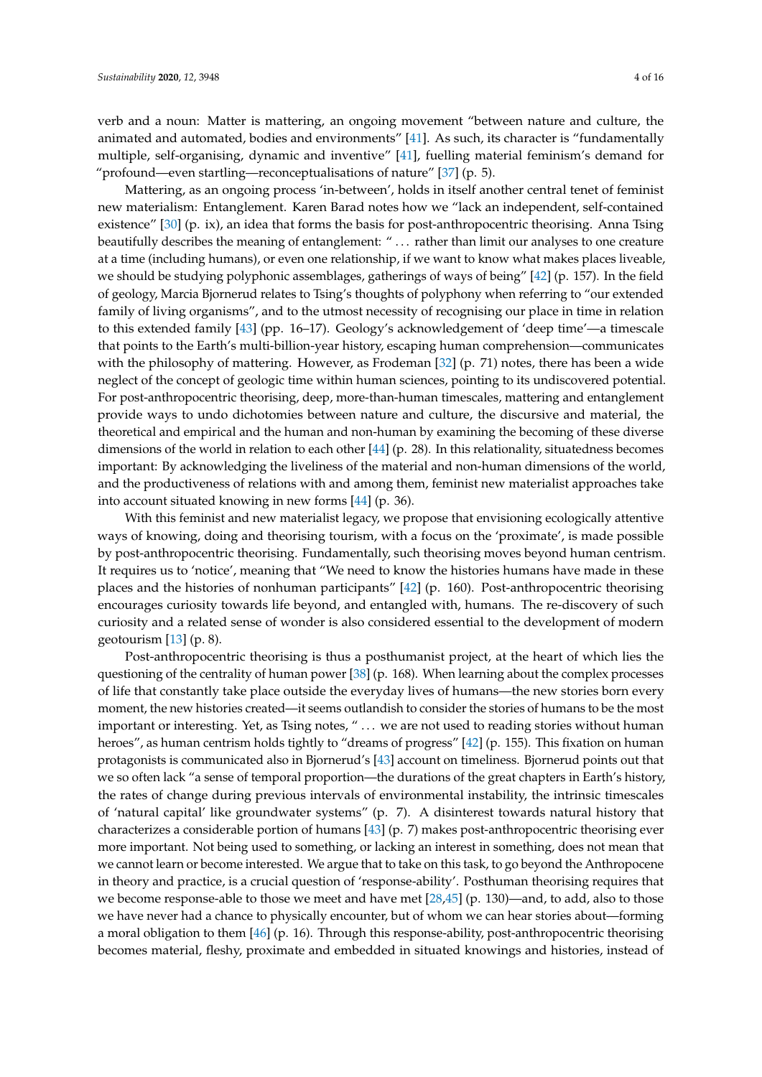verb and a noun: Matter is mattering, an ongoing movement "between nature and culture, the animated and automated, bodies and environments" [\[41\]](#page-15-8). As such, its character is "fundamentally multiple, self-organising, dynamic and inventive" [\[41\]](#page-15-8), fuelling material feminism's demand for "profound—even startling—reconceptualisations of nature"  $[37]$  (p. 5).

Mattering, as an ongoing process 'in-between', holds in itself another central tenet of feminist new materialism: Entanglement. Karen Barad notes how we "lack an independent, self-contained existence" [\[30\]](#page-14-23) (p. ix), an idea that forms the basis for post-anthropocentric theorising. Anna Tsing beautifully describes the meaning of entanglement: " . . . rather than limit our analyses to one creature at a time (including humans), or even one relationship, if we want to know what makes places liveable, we should be studying polyphonic assemblages, gatherings of ways of being" [\[42\]](#page-15-9) (p. 157). In the field of geology, Marcia Bjornerud relates to Tsing's thoughts of polyphony when referring to "our extended family of living organisms", and to the utmost necessity of recognising our place in time in relation to this extended family [\[43\]](#page-15-10) (pp. 16–17). Geology's acknowledgement of 'deep time'—a timescale that points to the Earth's multi-billion-year history, escaping human comprehension—communicates with the philosophy of mattering. However, as Frodeman [\[32\]](#page-14-25) (p. 71) notes, there has been a wide neglect of the concept of geologic time within human sciences, pointing to its undiscovered potential. For post-anthropocentric theorising, deep, more-than-human timescales, mattering and entanglement provide ways to undo dichotomies between nature and culture, the discursive and material, the theoretical and empirical and the human and non-human by examining the becoming of these diverse dimensions of the world in relation to each other [\[44\]](#page-15-11) (p. 28). In this relationality, situatedness becomes important: By acknowledging the liveliness of the material and non-human dimensions of the world, and the productiveness of relations with and among them, feminist new materialist approaches take into account situated knowing in new forms [\[44\]](#page-15-11) (p. 36).

With this feminist and new materialist legacy, we propose that envisioning ecologically attentive ways of knowing, doing and theorising tourism, with a focus on the 'proximate', is made possible by post-anthropocentric theorising. Fundamentally, such theorising moves beyond human centrism. It requires us to 'notice', meaning that "We need to know the histories humans have made in these places and the histories of nonhuman participants" [\[42\]](#page-15-9) (p. 160). Post-anthropocentric theorising encourages curiosity towards life beyond, and entangled with, humans. The re-discovery of such curiosity and a related sense of wonder is also considered essential to the development of modern geotourism [\[13\]](#page-14-6) (p. 8).

Post-anthropocentric theorising is thus a posthumanist project, at the heart of which lies the questioning of the centrality of human power [\[38\]](#page-15-5) (p. 168). When learning about the complex processes of life that constantly take place outside the everyday lives of humans—the new stories born every moment, the new histories created—it seems outlandish to consider the stories of humans to be the most important or interesting. Yet, as Tsing notes, " . . . we are not used to reading stories without human heroes", as human centrism holds tightly to "dreams of progress" [\[42\]](#page-15-9) (p. 155). This fixation on human protagonists is communicated also in Bjornerud's [\[43\]](#page-15-10) account on timeliness. Bjornerud points out that we so often lack "a sense of temporal proportion—the durations of the great chapters in Earth's history, the rates of change during previous intervals of environmental instability, the intrinsic timescales of 'natural capital' like groundwater systems" (p. 7). A disinterest towards natural history that characterizes a considerable portion of humans [\[43\]](#page-15-10) (p. 7) makes post-anthropocentric theorising ever more important. Not being used to something, or lacking an interest in something, does not mean that we cannot learn or become interested. We argue that to take on this task, to go beyond the Anthropocene in theory and practice, is a crucial question of 'response-ability'. Posthuman theorising requires that we become response-able to those we meet and have met [\[28,](#page-14-22)[45\]](#page-15-12) (p. 130)—and, to add, also to those we have never had a chance to physically encounter, but of whom we can hear stories about—forming a moral obligation to them [\[46\]](#page-15-13) (p. 16). Through this response-ability, post-anthropocentric theorising becomes material, fleshy, proximate and embedded in situated knowings and histories, instead of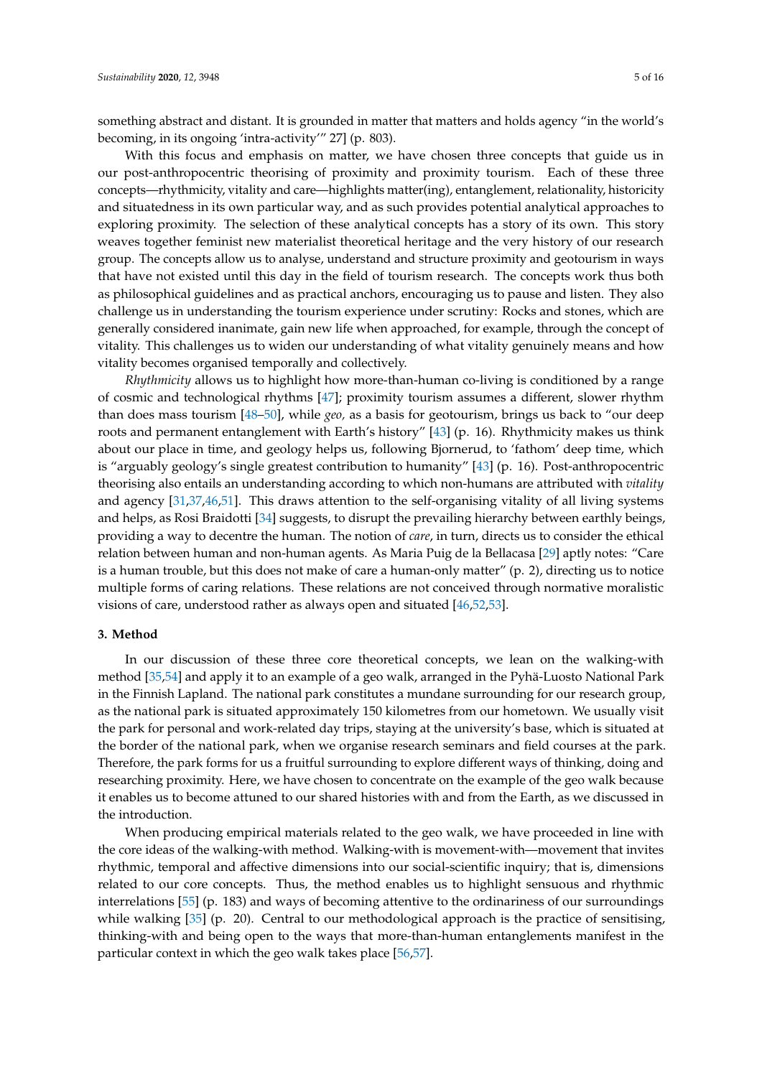something abstract and distant. It is grounded in matter that matters and holds agency "in the world's becoming, in its ongoing 'intra-activity'" 27] (p. 803).

With this focus and emphasis on matter, we have chosen three concepts that guide us in our post-anthropocentric theorising of proximity and proximity tourism. Each of these three concepts—rhythmicity, vitality and care—highlights matter(ing), entanglement, relationality, historicity and situatedness in its own particular way, and as such provides potential analytical approaches to exploring proximity. The selection of these analytical concepts has a story of its own. This story weaves together feminist new materialist theoretical heritage and the very history of our research group. The concepts allow us to analyse, understand and structure proximity and geotourism in ways that have not existed until this day in the field of tourism research. The concepts work thus both as philosophical guidelines and as practical anchors, encouraging us to pause and listen. They also challenge us in understanding the tourism experience under scrutiny: Rocks and stones, which are generally considered inanimate, gain new life when approached, for example, through the concept of vitality. This challenges us to widen our understanding of what vitality genuinely means and how vitality becomes organised temporally and collectively.

*Rhythmicity* allows us to highlight how more-than-human co-living is conditioned by a range of cosmic and technological rhythms [\[47\]](#page-15-14); proximity tourism assumes a different, slower rhythm than does mass tourism [\[48](#page-15-15)[–50\]](#page-15-16), while *geo,* as a basis for geotourism, brings us back to "our deep roots and permanent entanglement with Earth's history" [\[43\]](#page-15-10) (p. 16). Rhythmicity makes us think about our place in time, and geology helps us, following Bjornerud, to 'fathom' deep time, which is "arguably geology's single greatest contribution to humanity" [\[43\]](#page-15-10) (p. 16). Post-anthropocentric theorising also entails an understanding according to which non-humans are attributed with *vitality* and agency [\[31](#page-14-24)[,37](#page-15-4)[,46](#page-15-13)[,51\]](#page-15-17). This draws attention to the self-organising vitality of all living systems and helps, as Rosi Braidotti [\[34\]](#page-15-1) suggests, to disrupt the prevailing hierarchy between earthly beings, providing a way to decentre the human. The notion of *care*, in turn, directs us to consider the ethical relation between human and non-human agents. As Maria Puig de la Bellacasa [\[29\]](#page-14-21) aptly notes: "Care is a human trouble, but this does not make of care a human-only matter" (p. 2), directing us to notice multiple forms of caring relations. These relations are not conceived through normative moralistic visions of care, understood rather as always open and situated [\[46](#page-15-13)[,52](#page-15-18)[,53\]](#page-15-19).

#### **3. Method**

In our discussion of these three core theoretical concepts, we lean on the walking-with method [\[35](#page-15-2)[,54\]](#page-15-20) and apply it to an example of a geo walk, arranged in the Pyhä-Luosto National Park in the Finnish Lapland. The national park constitutes a mundane surrounding for our research group, as the national park is situated approximately 150 kilometres from our hometown. We usually visit the park for personal and work-related day trips, staying at the university's base, which is situated at the border of the national park, when we organise research seminars and field courses at the park. Therefore, the park forms for us a fruitful surrounding to explore different ways of thinking, doing and researching proximity. Here, we have chosen to concentrate on the example of the geo walk because it enables us to become attuned to our shared histories with and from the Earth, as we discussed in the introduction.

When producing empirical materials related to the geo walk, we have proceeded in line with the core ideas of the walking-with method. Walking-with is movement-with—movement that invites rhythmic, temporal and affective dimensions into our social-scientific inquiry; that is, dimensions related to our core concepts. Thus, the method enables us to highlight sensuous and rhythmic interrelations [\[55\]](#page-15-21) (p. 183) and ways of becoming attentive to the ordinariness of our surroundings while walking [\[35\]](#page-15-2) (p. 20). Central to our methodological approach is the practice of sensitising, thinking-with and being open to the ways that more-than-human entanglements manifest in the particular context in which the geo walk takes place [\[56](#page-15-22)[,57\]](#page-15-23).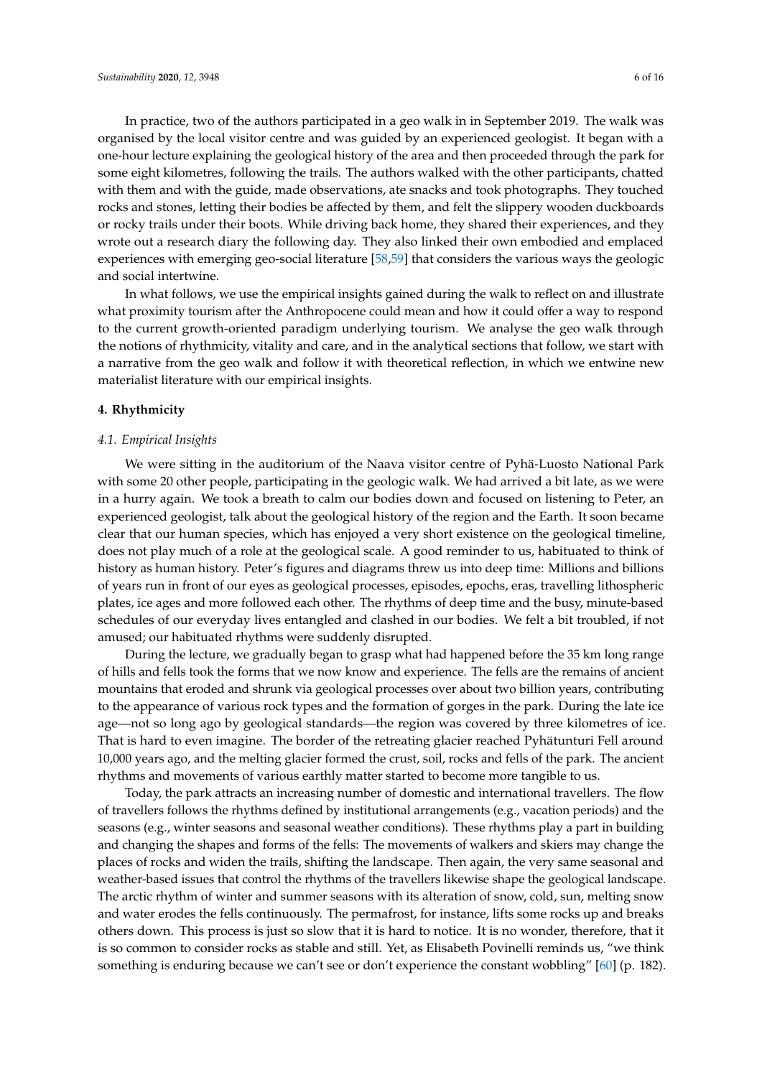In practice, two of the authors participated in a geo walk in in September 2019. The walk was organised by the local visitor centre and was guided by an experienced geologist. It began with a one-hour lecture explaining the geological history of the area and then proceeded through the park for some eight kilometres, following the trails. The authors walked with the other participants, chatted with them and with the guide, made observations, ate snacks and took photographs. They touched rocks and stones, letting their bodies be affected by them, and felt the slippery wooden duckboards or rocky trails under their boots. While driving back home, they shared their experiences, and they wrote out a research diary the following day. They also linked their own embodied and emplaced experiences with emerging geo-social literature [\[58,](#page-15-24)[59\]](#page-15-25) that considers the various ways the geologic and social intertwine.

In what follows, we use the empirical insights gained during the walk to reflect on and illustrate what proximity tourism after the Anthropocene could mean and how it could offer a way to respond to the current growth-oriented paradigm underlying tourism. We analyse the geo walk through the notions of rhythmicity, vitality and care, and in the analytical sections that follow, we start with a narrative from the geo walk and follow it with theoretical reflection, in which we entwine new materialist literature with our empirical insights.

#### **4. Rhythmicity**

#### *4.1. Empirical Insights*

We were sitting in the auditorium of the Naava visitor centre of Pyhä-Luosto National Park with some 20 other people, participating in the geologic walk. We had arrived a bit late, as we were in a hurry again. We took a breath to calm our bodies down and focused on listening to Peter, an experienced geologist, talk about the geological history of the region and the Earth. It soon became clear that our human species, which has enjoyed a very short existence on the geological timeline, does not play much of a role at the geological scale. A good reminder to us, habituated to think of history as human history. Peter's figures and diagrams threw us into deep time: Millions and billions of years run in front of our eyes as geological processes, episodes, epochs, eras, travelling lithospheric plates, ice ages and more followed each other. The rhythms of deep time and the busy, minute-based schedules of our everyday lives entangled and clashed in our bodies. We felt a bit troubled, if not amused; our habituated rhythms were suddenly disrupted.

During the lecture, we gradually began to grasp what had happened before the 35 km long range of hills and fells took the forms that we now know and experience. The fells are the remains of ancient mountains that eroded and shrunk via geological processes over about two billion years, contributing to the appearance of various rock types and the formation of gorges in the park. During the late ice age—not so long ago by geological standards—the region was covered by three kilometres of ice. That is hard to even imagine. The border of the retreating glacier reached Pyhätunturi Fell around 10,000 years ago, and the melting glacier formed the crust, soil, rocks and fells of the park. The ancient rhythms and movements of various earthly matter started to become more tangible to us.

Today, the park attracts an increasing number of domestic and international travellers. The flow of travellers follows the rhythms defined by institutional arrangements (e.g., vacation periods) and the seasons (e.g., winter seasons and seasonal weather conditions). These rhythms play a part in building and changing the shapes and forms of the fells: The movements of walkers and skiers may change the places of rocks and widen the trails, shifting the landscape. Then again, the very same seasonal and weather-based issues that control the rhythms of the travellers likewise shape the geological landscape. The arctic rhythm of winter and summer seasons with its alteration of snow, cold, sun, melting snow and water erodes the fells continuously. The permafrost, for instance, lifts some rocks up and breaks others down. This process is just so slow that it is hard to notice. It is no wonder, therefore, that it is so common to consider rocks as stable and still. Yet, as Elisabeth Povinelli reminds us, "we think something is enduring because we can't see or don't experience the constant wobbling" [\[60\]](#page-15-26) (p. 182).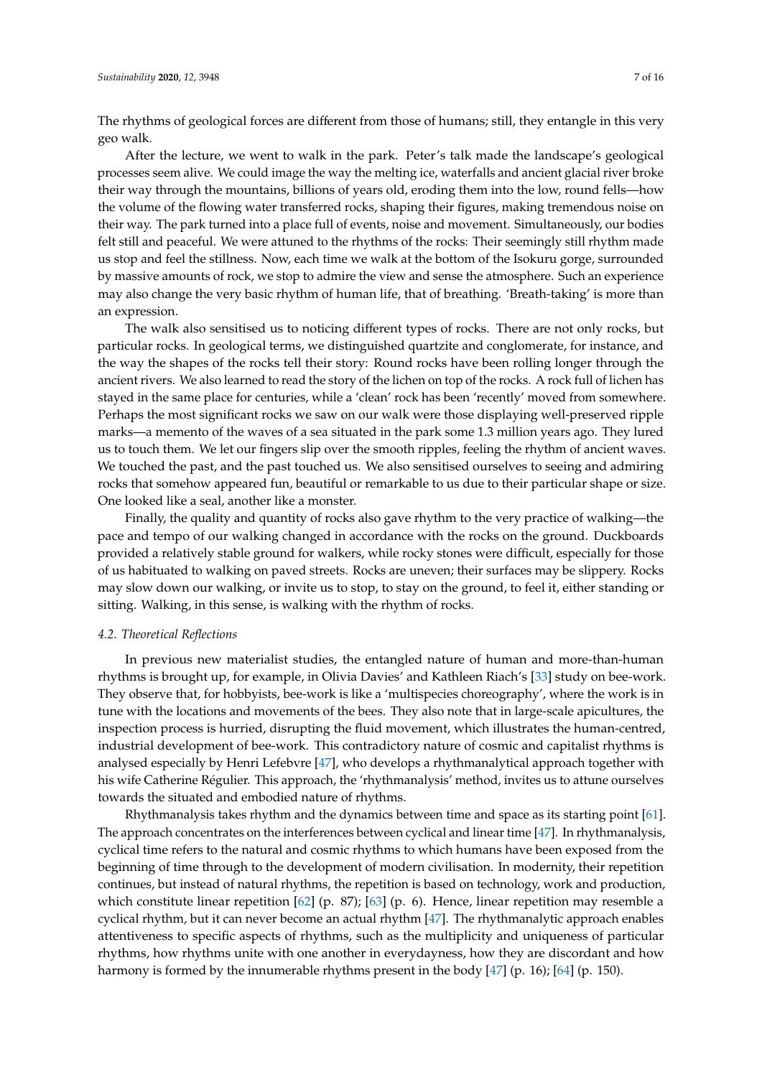The rhythms of geological forces are different from those of humans; still, they entangle in this very geo walk.

After the lecture, we went to walk in the park. Peter's talk made the landscape's geological processes seem alive. We could image the way the melting ice, waterfalls and ancient glacial river broke their way through the mountains, billions of years old, eroding them into the low, round fells—how the volume of the flowing water transferred rocks, shaping their figures, making tremendous noise on their way. The park turned into a place full of events, noise and movement. Simultaneously, our bodies felt still and peaceful. We were attuned to the rhythms of the rocks: Their seemingly still rhythm made us stop and feel the stillness. Now, each time we walk at the bottom of the Isokuru gorge, surrounded by massive amounts of rock, we stop to admire the view and sense the atmosphere. Such an experience may also change the very basic rhythm of human life, that of breathing. 'Breath-taking' is more than an expression.

The walk also sensitised us to noticing different types of rocks. There are not only rocks, but particular rocks. In geological terms, we distinguished quartzite and conglomerate, for instance, and the way the shapes of the rocks tell their story: Round rocks have been rolling longer through the ancient rivers. We also learned to read the story of the lichen on top of the rocks. A rock full of lichen has stayed in the same place for centuries, while a 'clean' rock has been 'recently' moved from somewhere. Perhaps the most significant rocks we saw on our walk were those displaying well-preserved ripple marks—a memento of the waves of a sea situated in the park some 1.3 million years ago. They lured us to touch them. We let our fingers slip over the smooth ripples, feeling the rhythm of ancient waves. We touched the past, and the past touched us. We also sensitised ourselves to seeing and admiring rocks that somehow appeared fun, beautiful or remarkable to us due to their particular shape or size. One looked like a seal, another like a monster.

Finally, the quality and quantity of rocks also gave rhythm to the very practice of walking—the pace and tempo of our walking changed in accordance with the rocks on the ground. Duckboards provided a relatively stable ground for walkers, while rocky stones were difficult, especially for those of us habituated to walking on paved streets. Rocks are uneven; their surfaces may be slippery. Rocks may slow down our walking, or invite us to stop, to stay on the ground, to feel it, either standing or sitting. Walking, in this sense, is walking with the rhythm of rocks.

#### *4.2. Theoretical Reflections*

In previous new materialist studies, the entangled nature of human and more-than-human rhythms is brought up, for example, in Olivia Davies' and Kathleen Riach's [\[33\]](#page-15-0) study on bee-work. They observe that, for hobbyists, bee-work is like a 'multispecies choreography', where the work is in tune with the locations and movements of the bees. They also note that in large-scale apicultures, the inspection process is hurried, disrupting the fluid movement, which illustrates the human-centred, industrial development of bee-work. This contradictory nature of cosmic and capitalist rhythms is analysed especially by Henri Lefebvre [\[47\]](#page-15-14), who develops a rhythmanalytical approach together with his wife Catherine Régulier. This approach, the 'rhythmanalysis' method, invites us to attune ourselves towards the situated and embodied nature of rhythms.

Rhythmanalysis takes rhythm and the dynamics between time and space as its starting point [\[61\]](#page-16-0). The approach concentrates on the interferences between cyclical and linear time [\[47\]](#page-15-14). In rhythmanalysis, cyclical time refers to the natural and cosmic rhythms to which humans have been exposed from the beginning of time through to the development of modern civilisation. In modernity, their repetition continues, but instead of natural rhythms, the repetition is based on technology, work and production, which constitute linear repetition [\[62\]](#page-16-1) (p. 87); [\[63\]](#page-16-2) (p. 6). Hence, linear repetition may resemble a cyclical rhythm, but it can never become an actual rhythm [\[47\]](#page-15-14). The rhythmanalytic approach enables attentiveness to specific aspects of rhythms, such as the multiplicity and uniqueness of particular rhythms, how rhythms unite with one another in everydayness, how they are discordant and how harmony is formed by the innumerable rhythms present in the body [\[47\]](#page-15-14) (p. 16); [\[64\]](#page-16-3) (p. 150).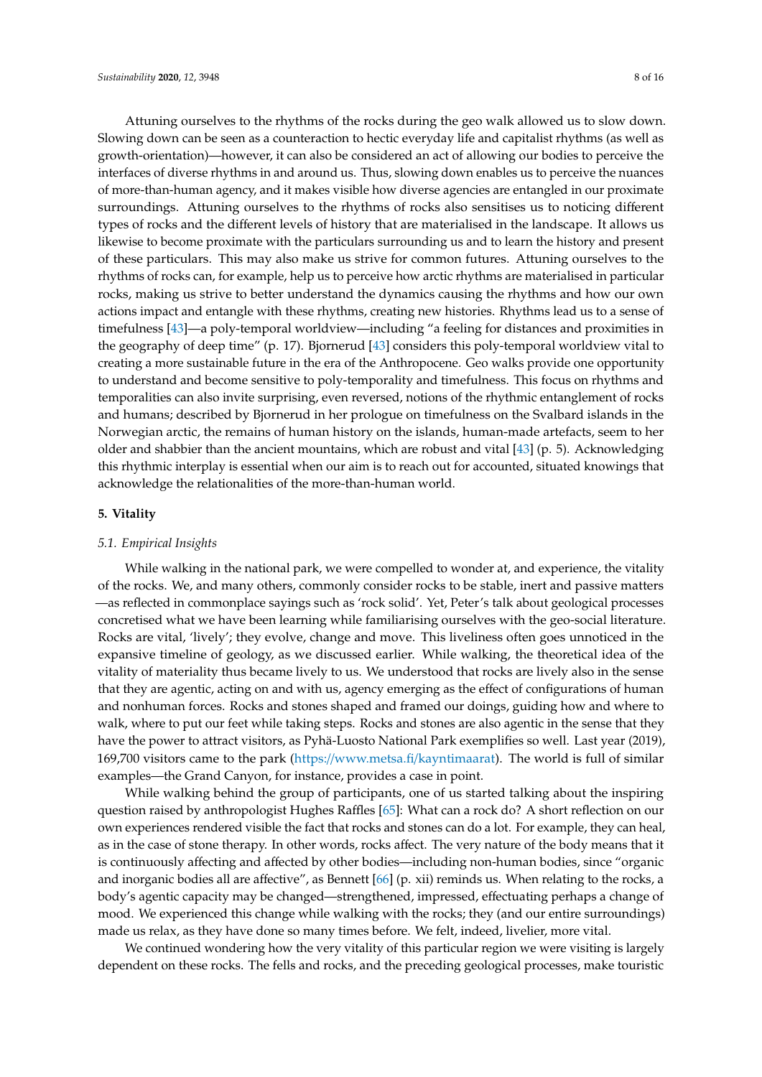Attuning ourselves to the rhythms of the rocks during the geo walk allowed us to slow down. Slowing down can be seen as a counteraction to hectic everyday life and capitalist rhythms (as well as growth-orientation)—however, it can also be considered an act of allowing our bodies to perceive the interfaces of diverse rhythms in and around us. Thus, slowing down enables us to perceive the nuances of more-than-human agency, and it makes visible how diverse agencies are entangled in our proximate surroundings. Attuning ourselves to the rhythms of rocks also sensitises us to noticing different types of rocks and the different levels of history that are materialised in the landscape. It allows us likewise to become proximate with the particulars surrounding us and to learn the history and present of these particulars. This may also make us strive for common futures. Attuning ourselves to the rhythms of rocks can, for example, help us to perceive how arctic rhythms are materialised in particular rocks, making us strive to better understand the dynamics causing the rhythms and how our own actions impact and entangle with these rhythms, creating new histories. Rhythms lead us to a sense of timefulness [\[43\]](#page-15-10)—a poly-temporal worldview—including "a feeling for distances and proximities in the geography of deep time" (p. 17). Bjornerud [\[43\]](#page-15-10) considers this poly-temporal worldview vital to creating a more sustainable future in the era of the Anthropocene. Geo walks provide one opportunity to understand and become sensitive to poly-temporality and timefulness. This focus on rhythms and temporalities can also invite surprising, even reversed, notions of the rhythmic entanglement of rocks and humans; described by Bjornerud in her prologue on timefulness on the Svalbard islands in the Norwegian arctic, the remains of human history on the islands, human-made artefacts, seem to her older and shabbier than the ancient mountains, which are robust and vital [\[43\]](#page-15-10) (p. 5). Acknowledging this rhythmic interplay is essential when our aim is to reach out for accounted, situated knowings that acknowledge the relationalities of the more-than-human world.

#### **5. Vitality**

#### *5.1. Empirical Insights*

While walking in the national park, we were compelled to wonder at, and experience, the vitality of the rocks. We, and many others, commonly consider rocks to be stable, inert and passive matters —as reflected in commonplace sayings such as 'rock solid'. Yet, Peter's talk about geological processes concretised what we have been learning while familiarising ourselves with the geo-social literature. Rocks are vital, 'lively'; they evolve, change and move. This liveliness often goes unnoticed in the expansive timeline of geology, as we discussed earlier. While walking, the theoretical idea of the vitality of materiality thus became lively to us. We understood that rocks are lively also in the sense that they are agentic, acting on and with us, agency emerging as the effect of configurations of human and nonhuman forces. Rocks and stones shaped and framed our doings, guiding how and where to walk, where to put our feet while taking steps. Rocks and stones are also agentic in the sense that they have the power to attract visitors, as Pyhä-Luosto National Park exemplifies so well. Last year (2019), 169,700 visitors came to the park (https://[www.metsa.fi](https://www.metsa.fi/kayntimaarat)/kayntimaarat). The world is full of similar examples—the Grand Canyon, for instance, provides a case in point.

While walking behind the group of participants, one of us started talking about the inspiring question raised by anthropologist Hughes Raffles [\[65\]](#page-16-4): What can a rock do? A short reflection on our own experiences rendered visible the fact that rocks and stones can do a lot. For example, they can heal, as in the case of stone therapy. In other words, rocks affect. The very nature of the body means that it is continuously affecting and affected by other bodies—including non-human bodies, since "organic and inorganic bodies all are affective", as Bennett [\[66\]](#page-16-5) (p. xii) reminds us. When relating to the rocks, a body's agentic capacity may be changed—strengthened, impressed, effectuating perhaps a change of mood. We experienced this change while walking with the rocks; they (and our entire surroundings) made us relax, as they have done so many times before. We felt, indeed, livelier, more vital.

We continued wondering how the very vitality of this particular region we were visiting is largely dependent on these rocks. The fells and rocks, and the preceding geological processes, make touristic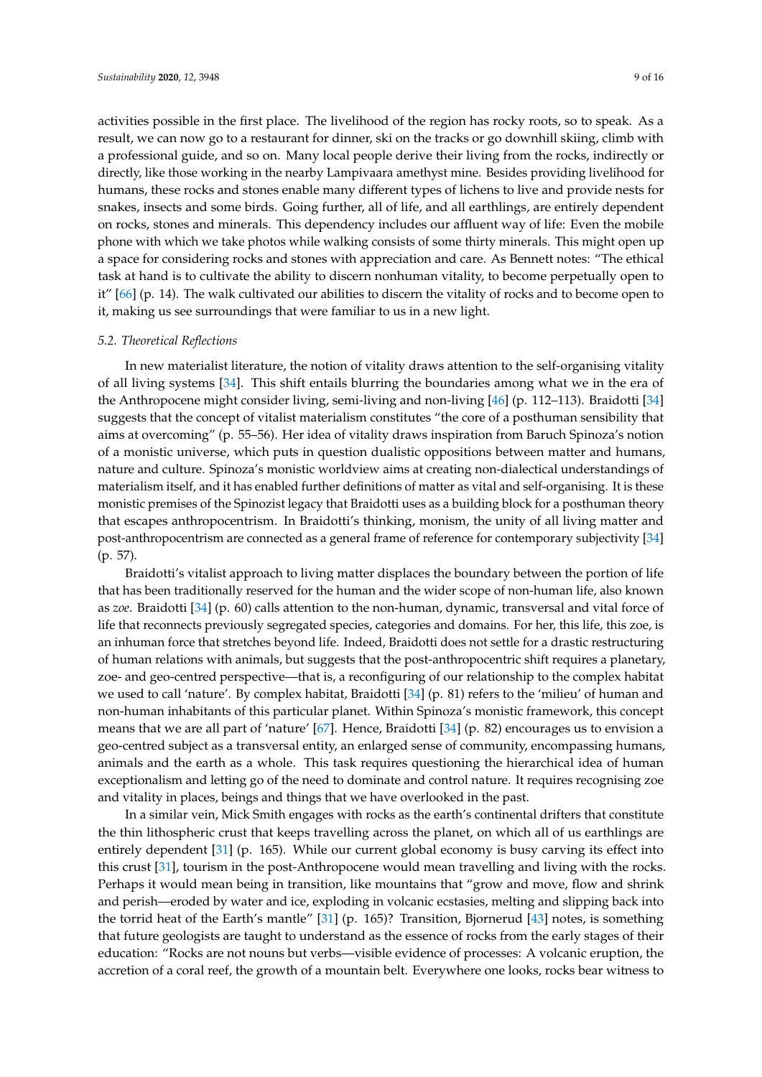activities possible in the first place. The livelihood of the region has rocky roots, so to speak. As a result, we can now go to a restaurant for dinner, ski on the tracks or go downhill skiing, climb with a professional guide, and so on. Many local people derive their living from the rocks, indirectly or directly, like those working in the nearby Lampivaara amethyst mine. Besides providing livelihood for humans, these rocks and stones enable many different types of lichens to live and provide nests for snakes, insects and some birds. Going further, all of life, and all earthlings, are entirely dependent on rocks, stones and minerals. This dependency includes our affluent way of life: Even the mobile phone with which we take photos while walking consists of some thirty minerals. This might open up a space for considering rocks and stones with appreciation and care. As Bennett notes: "The ethical task at hand is to cultivate the ability to discern nonhuman vitality, to become perpetually open to it" [\[66\]](#page-16-5) (p. 14). The walk cultivated our abilities to discern the vitality of rocks and to become open to it, making us see surroundings that were familiar to us in a new light.

#### *5.2. Theoretical Reflections*

In new materialist literature, the notion of vitality draws attention to the self-organising vitality of all living systems [\[34\]](#page-15-1). This shift entails blurring the boundaries among what we in the era of the Anthropocene might consider living, semi-living and non-living [\[46\]](#page-15-13) (p. 112–113). Braidotti [\[34\]](#page-15-1) suggests that the concept of vitalist materialism constitutes "the core of a posthuman sensibility that aims at overcoming" (p. 55–56). Her idea of vitality draws inspiration from Baruch Spinoza's notion of a monistic universe, which puts in question dualistic oppositions between matter and humans, nature and culture. Spinoza's monistic worldview aims at creating non-dialectical understandings of materialism itself, and it has enabled further definitions of matter as vital and self-organising. It is these monistic premises of the Spinozist legacy that Braidotti uses as a building block for a posthuman theory that escapes anthropocentrism. In Braidotti's thinking, monism, the unity of all living matter and post-anthropocentrism are connected as a general frame of reference for contemporary subjectivity [\[34\]](#page-15-1) (p. 57).

Braidotti's vitalist approach to living matter displaces the boundary between the portion of life that has been traditionally reserved for the human and the wider scope of non-human life, also known as *zoe*. Braidotti [\[34\]](#page-15-1) (p. 60) calls attention to the non-human, dynamic, transversal and vital force of life that reconnects previously segregated species, categories and domains. For her, this life, this zoe, is an inhuman force that stretches beyond life. Indeed, Braidotti does not settle for a drastic restructuring of human relations with animals, but suggests that the post-anthropocentric shift requires a planetary, zoe- and geo-centred perspective—that is, a reconfiguring of our relationship to the complex habitat we used to call 'nature'. By complex habitat, Braidotti [\[34\]](#page-15-1) (p. 81) refers to the 'milieu' of human and non-human inhabitants of this particular planet. Within Spinoza's monistic framework, this concept means that we are all part of 'nature' [\[67\]](#page-16-6). Hence, Braidotti [\[34\]](#page-15-1) (p. 82) encourages us to envision a geo-centred subject as a transversal entity, an enlarged sense of community, encompassing humans, animals and the earth as a whole. This task requires questioning the hierarchical idea of human exceptionalism and letting go of the need to dominate and control nature. It requires recognising zoe and vitality in places, beings and things that we have overlooked in the past.

In a similar vein, Mick Smith engages with rocks as the earth's continental drifters that constitute the thin lithospheric crust that keeps travelling across the planet, on which all of us earthlings are entirely dependent [\[31\]](#page-14-24) (p. 165). While our current global economy is busy carving its effect into this crust [\[31\]](#page-14-24), tourism in the post-Anthropocene would mean travelling and living with the rocks. Perhaps it would mean being in transition, like mountains that "grow and move, flow and shrink and perish—eroded by water and ice, exploding in volcanic ecstasies, melting and slipping back into the torrid heat of the Earth's mantle" [\[31\]](#page-14-24) (p. 165)? Transition, Bjornerud [\[43\]](#page-15-10) notes, is something that future geologists are taught to understand as the essence of rocks from the early stages of their education: "Rocks are not nouns but verbs—visible evidence of processes: A volcanic eruption, the accretion of a coral reef, the growth of a mountain belt. Everywhere one looks, rocks bear witness to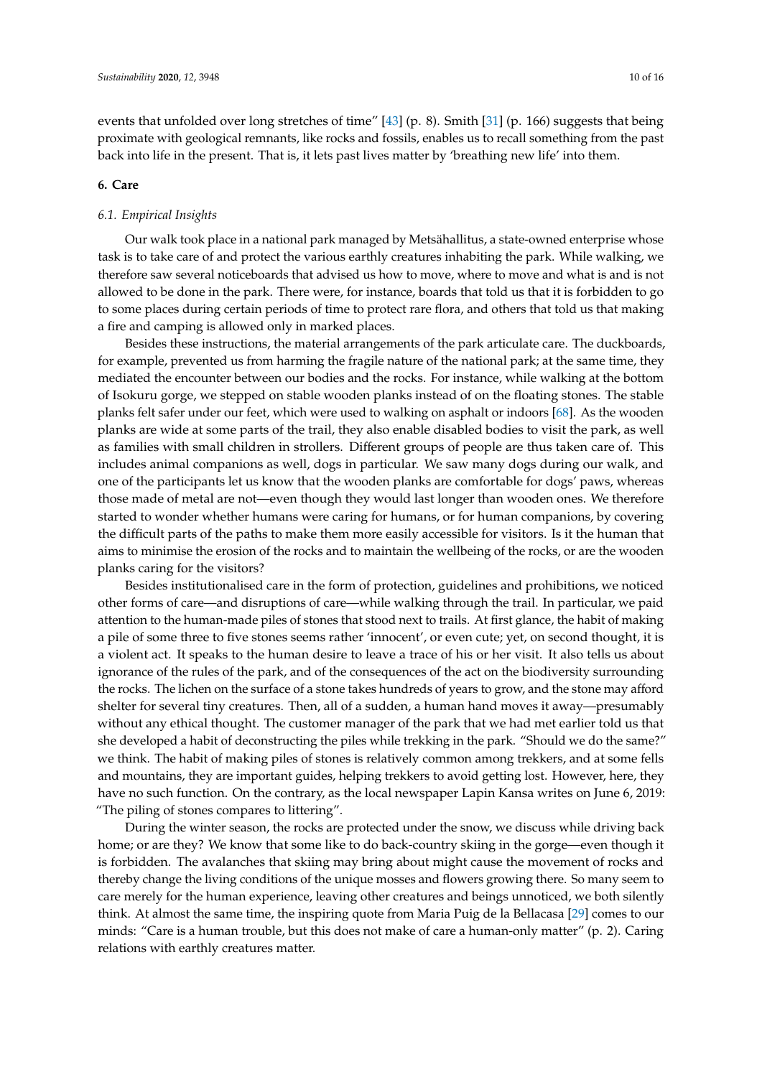events that unfolded over long stretches of time" [\[43\]](#page-15-10) (p. 8). Smith [\[31\]](#page-14-24) (p. 166) suggests that being proximate with geological remnants, like rocks and fossils, enables us to recall something from the past back into life in the present. That is, it lets past lives matter by 'breathing new life' into them.

#### **6. Care**

#### *6.1. Empirical Insights*

Our walk took place in a national park managed by Metsähallitus, a state-owned enterprise whose task is to take care of and protect the various earthly creatures inhabiting the park. While walking, we therefore saw several noticeboards that advised us how to move, where to move and what is and is not allowed to be done in the park. There were, for instance, boards that told us that it is forbidden to go to some places during certain periods of time to protect rare flora, and others that told us that making a fire and camping is allowed only in marked places.

Besides these instructions, the material arrangements of the park articulate care. The duckboards, for example, prevented us from harming the fragile nature of the national park; at the same time, they mediated the encounter between our bodies and the rocks. For instance, while walking at the bottom of Isokuru gorge, we stepped on stable wooden planks instead of on the floating stones. The stable planks felt safer under our feet, which were used to walking on asphalt or indoors [\[68\]](#page-16-7). As the wooden planks are wide at some parts of the trail, they also enable disabled bodies to visit the park, as well as families with small children in strollers. Different groups of people are thus taken care of. This includes animal companions as well, dogs in particular. We saw many dogs during our walk, and one of the participants let us know that the wooden planks are comfortable for dogs' paws, whereas those made of metal are not—even though they would last longer than wooden ones. We therefore started to wonder whether humans were caring for humans, or for human companions, by covering the difficult parts of the paths to make them more easily accessible for visitors. Is it the human that aims to minimise the erosion of the rocks and to maintain the wellbeing of the rocks, or are the wooden planks caring for the visitors?

Besides institutionalised care in the form of protection, guidelines and prohibitions, we noticed other forms of care—and disruptions of care—while walking through the trail. In particular, we paid attention to the human-made piles of stones that stood next to trails. At first glance, the habit of making a pile of some three to five stones seems rather 'innocent', or even cute; yet, on second thought, it is a violent act. It speaks to the human desire to leave a trace of his or her visit. It also tells us about ignorance of the rules of the park, and of the consequences of the act on the biodiversity surrounding the rocks. The lichen on the surface of a stone takes hundreds of years to grow, and the stone may afford shelter for several tiny creatures. Then, all of a sudden, a human hand moves it away—presumably without any ethical thought. The customer manager of the park that we had met earlier told us that she developed a habit of deconstructing the piles while trekking in the park. "Should we do the same?" we think. The habit of making piles of stones is relatively common among trekkers, and at some fells and mountains, they are important guides, helping trekkers to avoid getting lost. However, here, they have no such function. On the contrary, as the local newspaper Lapin Kansa writes on June 6, 2019: "The piling of stones compares to littering".

During the winter season, the rocks are protected under the snow, we discuss while driving back home; or are they? We know that some like to do back-country skiing in the gorge—even though it is forbidden. The avalanches that skiing may bring about might cause the movement of rocks and thereby change the living conditions of the unique mosses and flowers growing there. So many seem to care merely for the human experience, leaving other creatures and beings unnoticed, we both silently think. At almost the same time, the inspiring quote from Maria Puig de la Bellacasa [\[29\]](#page-14-21) comes to our minds: "Care is a human trouble, but this does not make of care a human-only matter" (p. 2). Caring relations with earthly creatures matter.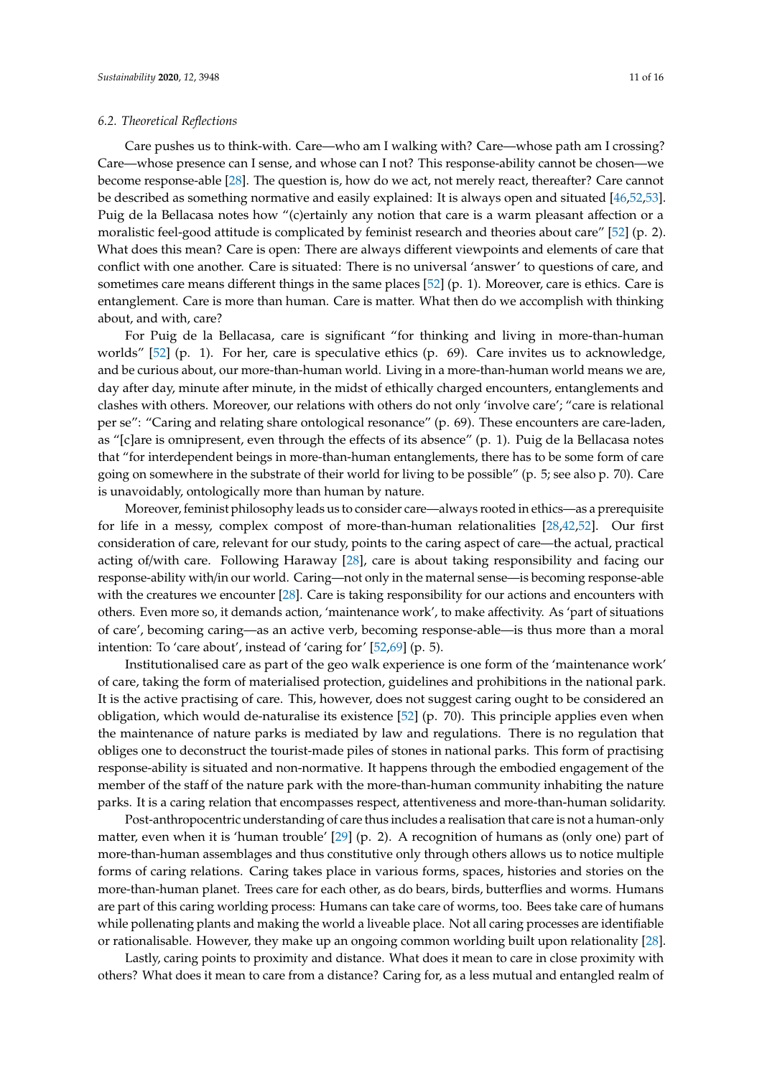Care pushes us to think-with. Care—who am I walking with? Care—whose path am I crossing? Care—whose presence can I sense, and whose can I not? This response-ability cannot be chosen—we become response-able [\[28\]](#page-14-22). The question is, how do we act, not merely react, thereafter? Care cannot be described as something normative and easily explained: It is always open and situated [\[46,](#page-15-13)[52,](#page-15-18)[53\]](#page-15-19). Puig de la Bellacasa notes how "(c)ertainly any notion that care is a warm pleasant affection or a moralistic feel-good attitude is complicated by feminist research and theories about care" [\[52\]](#page-15-18) (p. 2). What does this mean? Care is open: There are always different viewpoints and elements of care that conflict with one another. Care is situated: There is no universal 'answer' to questions of care, and sometimes care means different things in the same places [\[52\]](#page-15-18) (p. 1). Moreover, care is ethics. Care is entanglement. Care is more than human. Care is matter. What then do we accomplish with thinking about, and with, care?

For Puig de la Bellacasa, care is significant "for thinking and living in more-than-human worlds" [\[52\]](#page-15-18) (p. 1). For her, care is speculative ethics (p. 69). Care invites us to acknowledge, and be curious about, our more-than-human world. Living in a more-than-human world means we are, day after day, minute after minute, in the midst of ethically charged encounters, entanglements and clashes with others. Moreover, our relations with others do not only 'involve care'; "care is relational per se": "Caring and relating share ontological resonance" (p. 69). These encounters are care-laden, as "[c]are is omnipresent, even through the effects of its absence" (p. 1). Puig de la Bellacasa notes that "for interdependent beings in more-than-human entanglements, there has to be some form of care going on somewhere in the substrate of their world for living to be possible" (p. 5; see also p. 70). Care is unavoidably, ontologically more than human by nature.

Moreover, feminist philosophy leads us to consider care—always rooted in ethics—as a prerequisite for life in a messy, complex compost of more-than-human relationalities [\[28](#page-14-22)[,42](#page-15-9)[,52\]](#page-15-18). Our first consideration of care, relevant for our study, points to the caring aspect of care—the actual, practical acting of/with care. Following Haraway [\[28\]](#page-14-22), care is about taking responsibility and facing our response-ability with/in our world. Caring—not only in the maternal sense—is becoming response-able with the creatures we encounter [\[28\]](#page-14-22). Care is taking responsibility for our actions and encounters with others. Even more so, it demands action, 'maintenance work', to make affectivity. As 'part of situations of care', becoming caring—as an active verb, becoming response-able—is thus more than a moral intention: To 'care about', instead of 'caring for' [\[52,](#page-15-18)[69\]](#page-16-8) (p. 5).

Institutionalised care as part of the geo walk experience is one form of the 'maintenance work' of care, taking the form of materialised protection, guidelines and prohibitions in the national park. It is the active practising of care. This, however, does not suggest caring ought to be considered an obligation, which would de-naturalise its existence [\[52\]](#page-15-18) (p. 70). This principle applies even when the maintenance of nature parks is mediated by law and regulations. There is no regulation that obliges one to deconstruct the tourist-made piles of stones in national parks. This form of practising response-ability is situated and non-normative. It happens through the embodied engagement of the member of the staff of the nature park with the more-than-human community inhabiting the nature parks. It is a caring relation that encompasses respect, attentiveness and more-than-human solidarity.

Post-anthropocentric understanding of care thus includes a realisation that care is not a human-only matter, even when it is 'human trouble' [\[29\]](#page-14-21) (p. 2). A recognition of humans as (only one) part of more-than-human assemblages and thus constitutive only through others allows us to notice multiple forms of caring relations. Caring takes place in various forms, spaces, histories and stories on the more-than-human planet. Trees care for each other, as do bears, birds, butterflies and worms. Humans are part of this caring worlding process: Humans can take care of worms, too. Bees take care of humans while pollenating plants and making the world a liveable place. Not all caring processes are identifiable or rationalisable. However, they make up an ongoing common worlding built upon relationality [\[28\]](#page-14-22).

Lastly, caring points to proximity and distance. What does it mean to care in close proximity with others? What does it mean to care from a distance? Caring for, as a less mutual and entangled realm of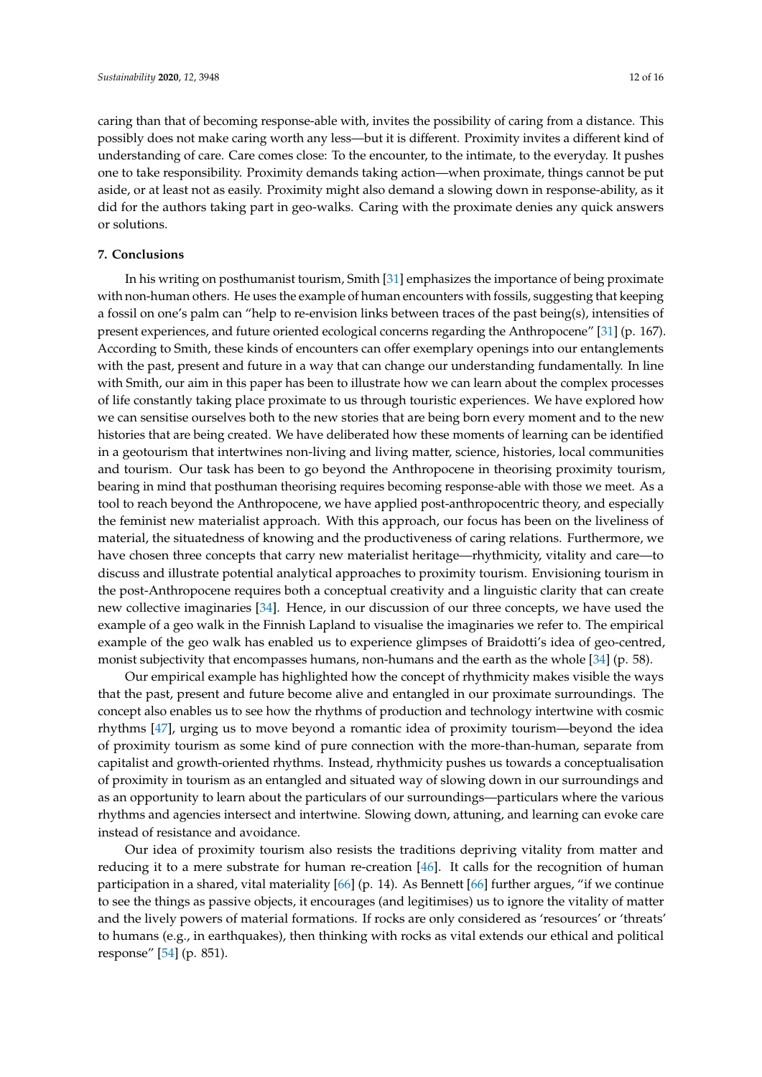caring than that of becoming response-able with, invites the possibility of caring from a distance. This possibly does not make caring worth any less—but it is different. Proximity invites a different kind of understanding of care. Care comes close: To the encounter, to the intimate, to the everyday. It pushes one to take responsibility. Proximity demands taking action—when proximate, things cannot be put aside, or at least not as easily. Proximity might also demand a slowing down in response-ability, as it did for the authors taking part in geo-walks. Caring with the proximate denies any quick answers or solutions.

#### **7. Conclusions**

In his writing on posthumanist tourism, Smith [\[31\]](#page-14-24) emphasizes the importance of being proximate with non-human others. He uses the example of human encounters with fossils, suggesting that keeping a fossil on one's palm can "help to re-envision links between traces of the past being(s), intensities of present experiences, and future oriented ecological concerns regarding the Anthropocene" [\[31\]](#page-14-24) (p. 167). According to Smith, these kinds of encounters can offer exemplary openings into our entanglements with the past, present and future in a way that can change our understanding fundamentally. In line with Smith, our aim in this paper has been to illustrate how we can learn about the complex processes of life constantly taking place proximate to us through touristic experiences. We have explored how we can sensitise ourselves both to the new stories that are being born every moment and to the new histories that are being created. We have deliberated how these moments of learning can be identified in a geotourism that intertwines non-living and living matter, science, histories, local communities and tourism. Our task has been to go beyond the Anthropocene in theorising proximity tourism, bearing in mind that posthuman theorising requires becoming response-able with those we meet. As a tool to reach beyond the Anthropocene, we have applied post-anthropocentric theory, and especially the feminist new materialist approach. With this approach, our focus has been on the liveliness of material, the situatedness of knowing and the productiveness of caring relations. Furthermore, we have chosen three concepts that carry new materialist heritage—rhythmicity, vitality and care—to discuss and illustrate potential analytical approaches to proximity tourism. Envisioning tourism in the post-Anthropocene requires both a conceptual creativity and a linguistic clarity that can create new collective imaginaries [\[34\]](#page-15-1). Hence, in our discussion of our three concepts, we have used the example of a geo walk in the Finnish Lapland to visualise the imaginaries we refer to. The empirical example of the geo walk has enabled us to experience glimpses of Braidotti's idea of geo-centred, monist subjectivity that encompasses humans, non-humans and the earth as the whole [\[34\]](#page-15-1) (p. 58).

Our empirical example has highlighted how the concept of rhythmicity makes visible the ways that the past, present and future become alive and entangled in our proximate surroundings. The concept also enables us to see how the rhythms of production and technology intertwine with cosmic rhythms [\[47\]](#page-15-14), urging us to move beyond a romantic idea of proximity tourism—beyond the idea of proximity tourism as some kind of pure connection with the more-than-human, separate from capitalist and growth-oriented rhythms. Instead, rhythmicity pushes us towards a conceptualisation of proximity in tourism as an entangled and situated way of slowing down in our surroundings and as an opportunity to learn about the particulars of our surroundings—particulars where the various rhythms and agencies intersect and intertwine. Slowing down, attuning, and learning can evoke care instead of resistance and avoidance.

Our idea of proximity tourism also resists the traditions depriving vitality from matter and reducing it to a mere substrate for human re-creation [\[46\]](#page-15-13). It calls for the recognition of human participation in a shared, vital materiality  $[66]$  (p. 14). As Bennett  $[66]$  further argues, "if we continue to see the things as passive objects, it encourages (and legitimises) us to ignore the vitality of matter and the lively powers of material formations. If rocks are only considered as 'resources' or 'threats' to humans (e.g., in earthquakes), then thinking with rocks as vital extends our ethical and political response" [\[54\]](#page-15-20) (p. 851).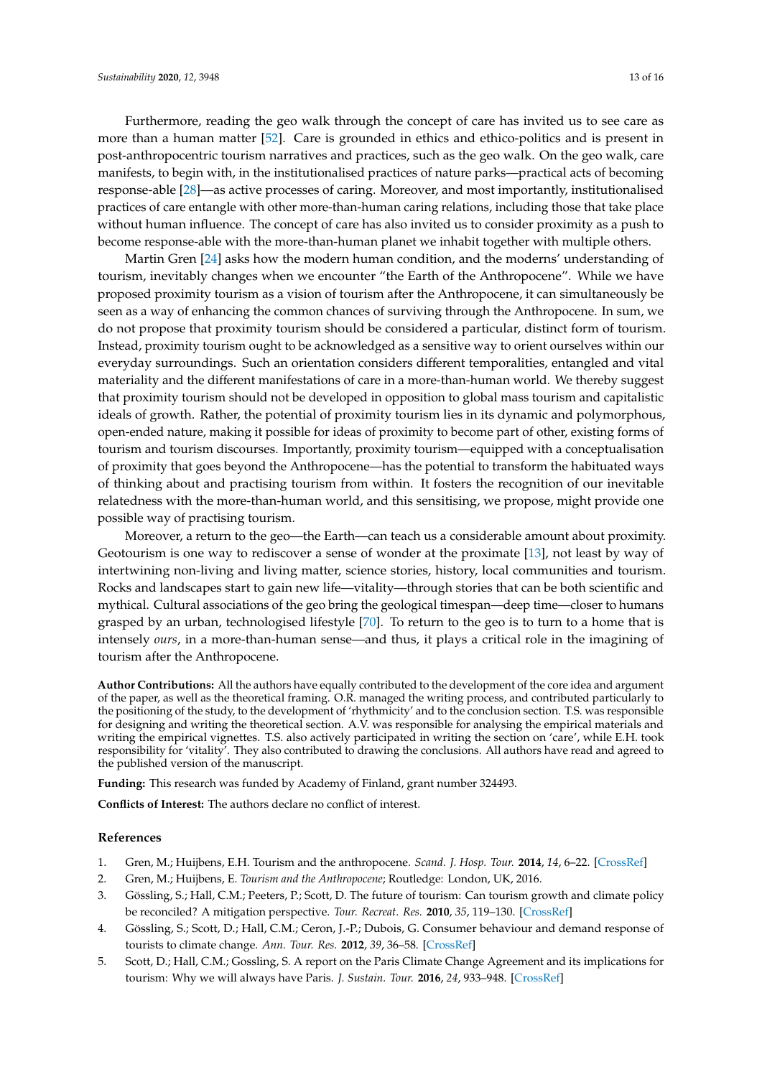Furthermore, reading the geo walk through the concept of care has invited us to see care as more than a human matter [\[52\]](#page-15-18). Care is grounded in ethics and ethico-politics and is present in post-anthropocentric tourism narratives and practices, such as the geo walk. On the geo walk, care manifests, to begin with, in the institutionalised practices of nature parks—practical acts of becoming response-able [\[28\]](#page-14-22)—as active processes of caring. Moreover, and most importantly, institutionalised practices of care entangle with other more-than-human caring relations, including those that take place without human influence. The concept of care has also invited us to consider proximity as a push to become response-able with the more-than-human planet we inhabit together with multiple others.

Martin Gren [\[24\]](#page-14-17) asks how the modern human condition, and the moderns' understanding of tourism, inevitably changes when we encounter "the Earth of the Anthropocene". While we have proposed proximity tourism as a vision of tourism after the Anthropocene, it can simultaneously be seen as a way of enhancing the common chances of surviving through the Anthropocene. In sum, we do not propose that proximity tourism should be considered a particular, distinct form of tourism. Instead, proximity tourism ought to be acknowledged as a sensitive way to orient ourselves within our everyday surroundings. Such an orientation considers different temporalities, entangled and vital materiality and the different manifestations of care in a more-than-human world. We thereby suggest that proximity tourism should not be developed in opposition to global mass tourism and capitalistic ideals of growth. Rather, the potential of proximity tourism lies in its dynamic and polymorphous, open-ended nature, making it possible for ideas of proximity to become part of other, existing forms of tourism and tourism discourses. Importantly, proximity tourism—equipped with a conceptualisation of proximity that goes beyond the Anthropocene—has the potential to transform the habituated ways of thinking about and practising tourism from within. It fosters the recognition of our inevitable relatedness with the more-than-human world, and this sensitising, we propose, might provide one possible way of practising tourism.

Moreover, a return to the geo—the Earth—can teach us a considerable amount about proximity. Geotourism is one way to rediscover a sense of wonder at the proximate [\[13\]](#page-14-6), not least by way of intertwining non-living and living matter, science stories, history, local communities and tourism. Rocks and landscapes start to gain new life—vitality—through stories that can be both scientific and mythical. Cultural associations of the geo bring the geological timespan—deep time—closer to humans grasped by an urban, technologised lifestyle [\[70\]](#page-16-9). To return to the geo is to turn to a home that is intensely *ours*, in a more-than-human sense—and thus, it plays a critical role in the imagining of tourism after the Anthropocene.

**Author Contributions:** All the authors have equally contributed to the development of the core idea and argument of the paper, as well as the theoretical framing. O.R. managed the writing process, and contributed particularly to the positioning of the study, to the development of 'rhythmicity' and to the conclusion section. T.S. was responsible for designing and writing the theoretical section. A.V. was responsible for analysing the empirical materials and writing the empirical vignettes. T.S. also actively participated in writing the section on 'care', while E.H. took responsibility for 'vitality'. They also contributed to drawing the conclusions. All authors have read and agreed to the published version of the manuscript.

**Funding:** This research was funded by Academy of Finland, grant number 324493.

**Conflicts of Interest:** The authors declare no conflict of interest.

#### **References**

- <span id="page-13-0"></span>1. Gren, M.; Huijbens, E.H. Tourism and the anthropocene. *Scand. J. Hosp. Tour.* **2014**, *14*, 6–22. [\[CrossRef\]](http://dx.doi.org/10.1080/15022250.2014.886100)
- <span id="page-13-1"></span>2. Gren, M.; Huijbens, E. *Tourism and the Anthropocene*; Routledge: London, UK, 2016.
- <span id="page-13-2"></span>3. Gössling, S.; Hall, C.M.; Peeters, P.; Scott, D. The future of tourism: Can tourism growth and climate policy be reconciled? A mitigation perspective. *Tour. Recreat. Res.* **2010**, *35*, 119–130. [\[CrossRef\]](http://dx.doi.org/10.1080/02508281.2010.11081628)
- 4. Gössling, S.; Scott, D.; Hall, C.M.; Ceron, J.-P.; Dubois, G. Consumer behaviour and demand response of tourists to climate change. *Ann. Tour. Res.* **2012**, *39*, 36–58. [\[CrossRef\]](http://dx.doi.org/10.1016/j.annals.2011.11.002)
- 5. Scott, D.; Hall, C.M.; Gossling, S. A report on the Paris Climate Change Agreement and its implications for tourism: Why we will always have Paris. *J. Sustain. Tour.* **2016**, *24*, 933–948. [\[CrossRef\]](http://dx.doi.org/10.1080/09669582.2016.1187623)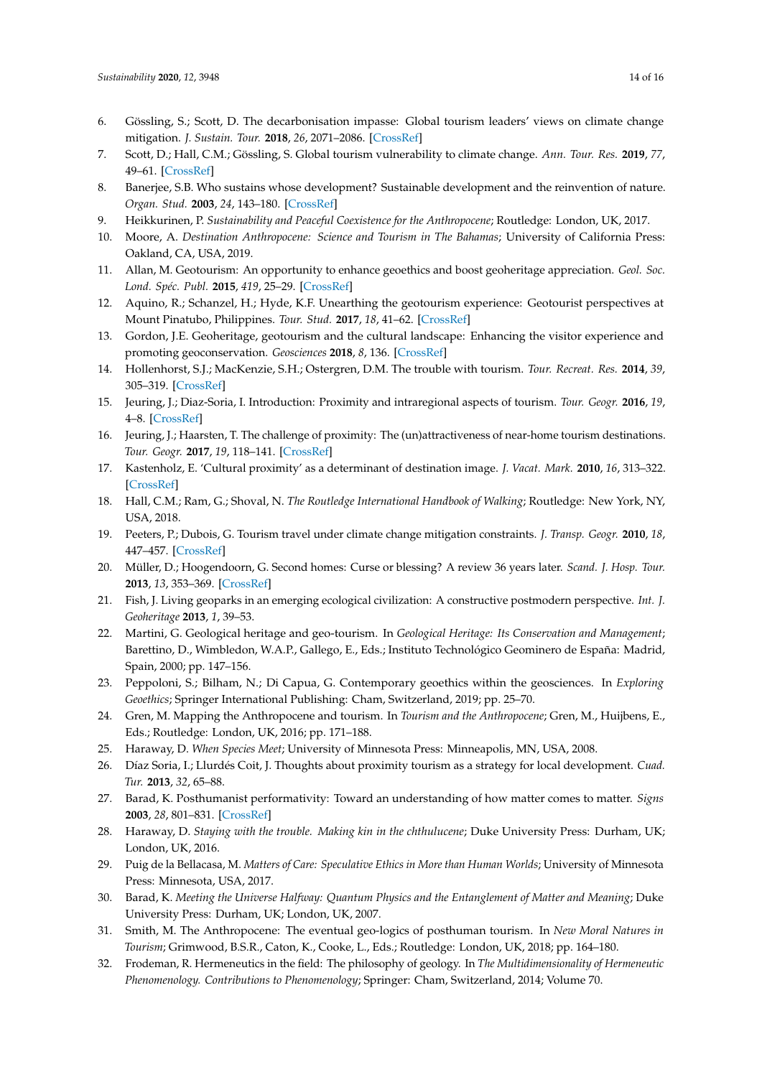- <span id="page-14-0"></span>6. Gössling, S.; Scott, D. The decarbonisation impasse: Global tourism leaders' views on climate change mitigation. *J. Sustain. Tour.* **2018**, *26*, 2071–2086. [\[CrossRef\]](http://dx.doi.org/10.1080/09669582.2018.1529770)
- <span id="page-14-1"></span>7. Scott, D.; Hall, C.M.; Gössling, S. Global tourism vulnerability to climate change. *Ann. Tour. Res.* **2019**, *77*, 49–61. [\[CrossRef\]](http://dx.doi.org/10.1016/j.annals.2019.05.007)
- <span id="page-14-2"></span>8. Banerjee, S.B. Who sustains whose development? Sustainable development and the reinvention of nature. *Organ. Stud.* **2003**, *24*, 143–180. [\[CrossRef\]](http://dx.doi.org/10.1177/0170840603024001341)
- <span id="page-14-3"></span>9. Heikkurinen, P. *Sustainability and Peaceful Coexistence for the Anthropocene*; Routledge: London, UK, 2017.
- <span id="page-14-4"></span>10. Moore, A. *Destination Anthropocene: Science and Tourism in The Bahamas*; University of California Press: Oakland, CA, USA, 2019.
- <span id="page-14-5"></span>11. Allan, M. Geotourism: An opportunity to enhance geoethics and boost geoheritage appreciation. *Geol. Soc. Lond. Spéc. Publ.* **2015**, *419*, 25–29. [\[CrossRef\]](http://dx.doi.org/10.1144/SP419.20)
- 12. Aquino, R.; Schanzel, H.; Hyde, K.F. Unearthing the geotourism experience: Geotourist perspectives at Mount Pinatubo, Philippines. *Tour. Stud.* **2017**, *18*, 41–62. [\[CrossRef\]](http://dx.doi.org/10.1177/1468797617717465)
- <span id="page-14-6"></span>13. Gordon, J.E. Geoheritage, geotourism and the cultural landscape: Enhancing the visitor experience and promoting geoconservation. *Geosciences* **2018**, *8*, 136. [\[CrossRef\]](http://dx.doi.org/10.3390/geosciences8040136)
- <span id="page-14-7"></span>14. Hollenhorst, S.J.; MacKenzie, S.H.; Ostergren, D.M. The trouble with tourism. *Tour. Recreat. Res.* **2014**, *39*, 305–319. [\[CrossRef\]](http://dx.doi.org/10.1080/02508281.2014.11087003)
- <span id="page-14-8"></span>15. Jeuring, J.; Diaz-Soria, I. Introduction: Proximity and intraregional aspects of tourism. *Tour. Geogr.* **2016**, *19*, 4–8. [\[CrossRef\]](http://dx.doi.org/10.1080/14616688.2016.1233290)
- <span id="page-14-9"></span>16. Jeuring, J.; Haarsten, T. The challenge of proximity: The (un)attractiveness of near-home tourism destinations. *Tour. Geogr.* **2017**, *19*, 118–141. [\[CrossRef\]](http://dx.doi.org/10.1080/14616688.2016.1175024)
- <span id="page-14-10"></span>17. Kastenholz, E. 'Cultural proximity' as a determinant of destination image. *J. Vacat. Mark.* **2010**, *16*, 313–322. [\[CrossRef\]](http://dx.doi.org/10.1177/1356766710380883)
- <span id="page-14-11"></span>18. Hall, C.M.; Ram, G.; Shoval, N. *The Routledge International Handbook of Walking*; Routledge: New York, NY, USA, 2018.
- <span id="page-14-12"></span>19. Peeters, P.; Dubois, G. Tourism travel under climate change mitigation constraints. *J. Transp. Geogr.* **2010**, *18*, 447–457. [\[CrossRef\]](http://dx.doi.org/10.1016/j.jtrangeo.2009.09.003)
- <span id="page-14-13"></span>20. Müller, D.; Hoogendoorn, G. Second homes: Curse or blessing? A review 36 years later. *Scand. J. Hosp. Tour.* **2013**, *13*, 353–369. [\[CrossRef\]](http://dx.doi.org/10.1080/15022250.2013.860306)
- <span id="page-14-14"></span>21. Fish, J. Living geoparks in an emerging ecological civilization: A constructive postmodern perspective. *Int. J. Geoheritage* **2013**, *1*, 39–53.
- <span id="page-14-15"></span>22. Martini, G. Geological heritage and geo-tourism. In *Geological Heritage: Its Conservation and Management*; Barettino, D., Wimbledon, W.A.P., Gallego, E., Eds.; Instituto Technológico Geominero de España: Madrid, Spain, 2000; pp. 147–156.
- <span id="page-14-16"></span>23. Peppoloni, S.; Bilham, N.; Di Capua, G. Contemporary geoethics within the geosciences. In *Exploring Geoethics*; Springer International Publishing: Cham, Switzerland, 2019; pp. 25–70.
- <span id="page-14-17"></span>24. Gren, M. Mapping the Anthropocene and tourism. In *Tourism and the Anthropocene*; Gren, M., Huijbens, E., Eds.; Routledge: London, UK, 2016; pp. 171–188.
- <span id="page-14-18"></span>25. Haraway, D. *When Species Meet*; University of Minnesota Press: Minneapolis, MN, USA, 2008.
- <span id="page-14-19"></span>26. Díaz Soria, I.; Llurdés Coit, J. Thoughts about proximity tourism as a strategy for local development. *Cuad. Tur.* **2013**, *32*, 65–88.
- <span id="page-14-20"></span>27. Barad, K. Posthumanist performativity: Toward an understanding of how matter comes to matter. *Signs* **2003**, *28*, 801–831. [\[CrossRef\]](http://dx.doi.org/10.1086/345321)
- <span id="page-14-22"></span>28. Haraway, D. Staying with the trouble. Making kin in the chthulucene; Duke University Press: Durham, UK; London, UK, 2016.
- <span id="page-14-21"></span>29. Puig de la Bellacasa, M. *Matters of Care: Speculative Ethics in More than Human Worlds*; University of Minnesota Press: Minnesota, USA, 2017.
- <span id="page-14-23"></span>30. Barad, K. *Meeting the Universe Halfway: Quantum Physics and the Entanglement of Matter and Meaning*; Duke University Press: Durham, UK; London, UK, 2007.
- <span id="page-14-24"></span>31. Smith, M. The Anthropocene: The eventual geo-logics of posthuman tourism. In *New Moral Natures in Tourism*; Grimwood, B.S.R., Caton, K., Cooke, L., Eds.; Routledge: London, UK, 2018; pp. 164–180.
- <span id="page-14-25"></span>32. Frodeman, R. Hermeneutics in the field: The philosophy of geology. In *The Multidimensionality of Hermeneutic Phenomenology. Contributions to Phenomenology*; Springer: Cham, Switzerland, 2014; Volume 70.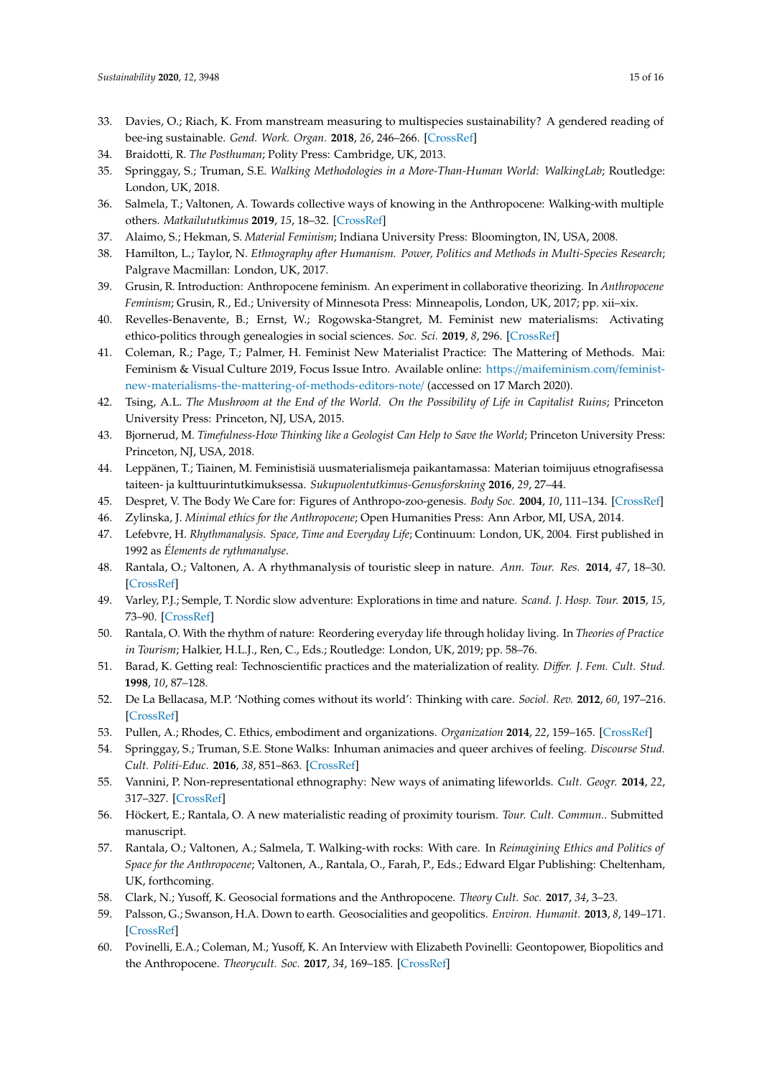- <span id="page-15-0"></span>33. Davies, O.; Riach, K. From manstream measuring to multispecies sustainability? A gendered reading of bee-ing sustainable. *Gend. Work. Organ.* **2018**, *26*, 246–266. [\[CrossRef\]](http://dx.doi.org/10.1111/gwao.12245)
- <span id="page-15-1"></span>34. Braidotti, R. *The Posthuman*; Polity Press: Cambridge, UK, 2013.
- <span id="page-15-2"></span>35. Springgay, S.; Truman, S.E. *Walking Methodologies in a More-Than-Human World: WalkingLab*; Routledge: London, UK, 2018.
- <span id="page-15-3"></span>36. Salmela, T.; Valtonen, A. Towards collective ways of knowing in the Anthropocene: Walking-with multiple others. *Matkailututkimus* **2019**, *15*, 18–32. [\[CrossRef\]](http://dx.doi.org/10.33351/mt.88267)
- <span id="page-15-4"></span>37. Alaimo, S.; Hekman, S. *Material Feminism*; Indiana University Press: Bloomington, IN, USA, 2008.
- <span id="page-15-5"></span>38. Hamilton, L.; Taylor, N. *Ethnography after Humanism. Power, Politics and Methods in Multi-Species Research*; Palgrave Macmillan: London, UK, 2017.
- <span id="page-15-6"></span>39. Grusin, R. Introduction: Anthropocene feminism. An experiment in collaborative theorizing. In *Anthropocene Feminism*; Grusin, R., Ed.; University of Minnesota Press: Minneapolis, London, UK, 2017; pp. xii–xix.
- <span id="page-15-7"></span>40. Revelles-Benavente, B.; Ernst, W.; Rogowska-Stangret, M. Feminist new materialisms: Activating ethico-politics through genealogies in social sciences. *Soc. Sci.* **2019**, *8*, 296. [\[CrossRef\]](http://dx.doi.org/10.3390/socsci8110296)
- <span id="page-15-8"></span>41. Coleman, R.; Page, T.; Palmer, H. Feminist New Materialist Practice: The Mattering of Methods. Mai: Feminism & Visual Culture 2019, Focus Issue Intro. Available online: https://[maifeminism.com](https://maifeminism.com/feminist-new-materialisms-the-mattering-of-methods-editors-note/)/feminist[new-materialisms-the-mattering-of-methods-editors-note](https://maifeminism.com/feminist-new-materialisms-the-mattering-of-methods-editors-note/)/ (accessed on 17 March 2020).
- <span id="page-15-9"></span>42. Tsing, A.L. *The Mushroom at the End of the World. On the Possibility of Life in Capitalist Ruins*; Princeton University Press: Princeton, NJ, USA, 2015.
- <span id="page-15-10"></span>43. Bjornerud, M. *Timefulness-How Thinking like a Geologist Can Help to Save the World*; Princeton University Press: Princeton, NJ, USA, 2018.
- <span id="page-15-11"></span>44. Leppänen, T.; Tiainen, M. Feministisiä uusmaterialismeja paikantamassa: Materian toimijuus etnografisessa taiteen- ja kulttuurintutkimuksessa. *Sukupuolentutkimus-Genusforskning* **2016**, *29*, 27–44.
- <span id="page-15-12"></span>45. Despret, V. The Body We Care for: Figures of Anthropo-zoo-genesis. *Body Soc.* **2004**, *10*, 111–134. [\[CrossRef\]](http://dx.doi.org/10.1177/1357034X04042938)
- <span id="page-15-13"></span>46. Zylinska, J. *Minimal ethics for the Anthropocene*; Open Humanities Press: Ann Arbor, MI, USA, 2014.
- <span id="page-15-14"></span>47. Lefebvre, H. *Rhythmanalysis. Space, Time and Everyday Life*; Continuum: London, UK, 2004. First published in 1992 as *Élements de rythmanalyse*.
- <span id="page-15-15"></span>48. Rantala, O.; Valtonen, A. A rhythmanalysis of touristic sleep in nature. *Ann. Tour. Res.* **2014**, *47*, 18–30. [\[CrossRef\]](http://dx.doi.org/10.1016/j.annals.2014.04.001)
- 49. Varley, P.J.; Semple, T. Nordic slow adventure: Explorations in time and nature. *Scand. J. Hosp. Tour.* **2015**, *15*, 73–90. [\[CrossRef\]](http://dx.doi.org/10.1080/15022250.2015.1028142)
- <span id="page-15-16"></span>50. Rantala, O. With the rhythm of nature: Reordering everyday life through holiday living. In *Theories of Practice in Tourism*; Halkier, H.L.J., Ren, C., Eds.; Routledge: London, UK, 2019; pp. 58–76.
- <span id="page-15-17"></span>51. Barad, K. Getting real: Technoscientific practices and the materialization of reality. *Di*ff*er. J. Fem. Cult. Stud.* **1998**, *10*, 87–128.
- <span id="page-15-18"></span>52. De La Bellacasa, M.P. 'Nothing comes without its world': Thinking with care. *Sociol. Rev.* **2012**, *60*, 197–216. [\[CrossRef\]](http://dx.doi.org/10.1111/j.1467-954X.2012.02070.x)
- <span id="page-15-19"></span>53. Pullen, A.; Rhodes, C. Ethics, embodiment and organizations. *Organization* **2014**, *22*, 159–165. [\[CrossRef\]](http://dx.doi.org/10.1177/1350508414558727)
- <span id="page-15-20"></span>54. Springgay, S.; Truman, S.E. Stone Walks: Inhuman animacies and queer archives of feeling. *Discourse Stud. Cult. Politi-Educ.* **2016**, *38*, 851–863. [\[CrossRef\]](http://dx.doi.org/10.1080/01596306.2016.1226777)
- <span id="page-15-21"></span>55. Vannini, P. Non-representational ethnography: New ways of animating lifeworlds. *Cult. Geogr.* **2014**, *22*, 317–327. [\[CrossRef\]](http://dx.doi.org/10.1177/1474474014555657)
- <span id="page-15-22"></span>56. Höckert, E.; Rantala, O. A new materialistic reading of proximity tourism. *Tour. Cult. Commun.*. Submitted manuscript.
- <span id="page-15-23"></span>57. Rantala, O.; Valtonen, A.; Salmela, T. Walking-with rocks: With care. In *Reimagining Ethics and Politics of Space for the Anthropocene*; Valtonen, A., Rantala, O., Farah, P., Eds.; Edward Elgar Publishing: Cheltenham, UK, forthcoming.
- <span id="page-15-24"></span>58. Clark, N.; Yusoff, K. Geosocial formations and the Anthropocene. *Theory Cult. Soc.* **2017**, *34*, 3–23.
- <span id="page-15-25"></span>59. Palsson, G.; Swanson, H.A. Down to earth. Geosocialities and geopolitics. *Environ. Humanit.* **2013**, *8*, 149–171. [\[CrossRef\]](http://dx.doi.org/10.1215/22011919-3664202)
- <span id="page-15-26"></span>60. Povinelli, E.A.; Coleman, M.; Yusoff, K. An Interview with Elizabeth Povinelli: Geontopower, Biopolitics and the Anthropocene. *Theorycult. Soc.* **2017**, *34*, 169–185. [\[CrossRef\]](http://dx.doi.org/10.1177/0263276417689900)